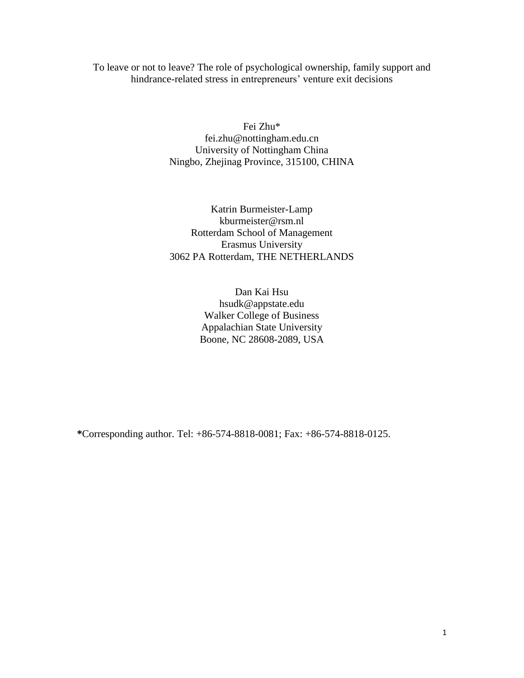To leave or not to leave? The role of psychological ownership, family support and hindrance-related stress in entrepreneurs' venture exit decisions

> Fei Zhu\* fei.zhu@nottingham.edu.cn University of Nottingham China Ningbo, Zhejinag Province, 315100, CHINA

> Katrin Burmeister-Lamp kburmeister@rsm.nl Rotterdam School of Management Erasmus University 3062 PA Rotterdam, THE NETHERLANDS

> > Dan Kai Hsu hsudk@appstate.edu Walker College of Business Appalachian State University Boone, NC 28608-2089, USA

**\***Corresponding author. Tel: +86-574-8818-0081; Fax: +86-574-8818-0125.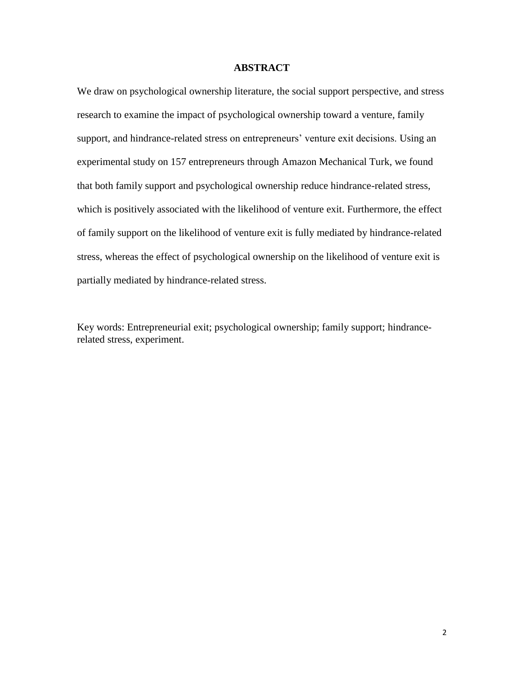# **ABSTRACT**

We draw on psychological ownership literature, the social support perspective, and stress research to examine the impact of psychological ownership toward a venture, family support, and hindrance-related stress on entrepreneurs' venture exit decisions. Using an experimental study on 157 entrepreneurs through Amazon Mechanical Turk, we found that both family support and psychological ownership reduce hindrance-related stress, which is positively associated with the likelihood of venture exit. Furthermore, the effect of family support on the likelihood of venture exit is fully mediated by hindrance-related stress, whereas the effect of psychological ownership on the likelihood of venture exit is partially mediated by hindrance-related stress.

Key words: Entrepreneurial exit; psychological ownership; family support; hindrancerelated stress, experiment.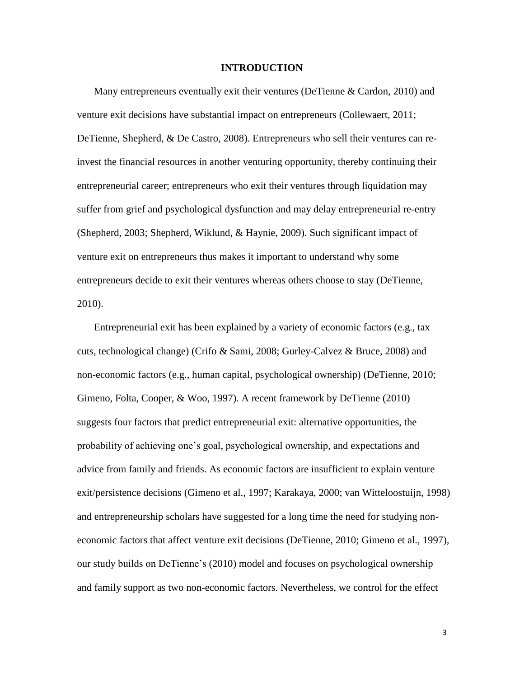#### **INTRODUCTION**

Many entrepreneurs eventually exit their ventures [\(DeTienne & Cardon, 2010\)](#page-27-0) and venture exit decisions have substantial impact on entrepreneurs [\(Collewaert, 2011;](#page-27-1) [DeTienne, Shepherd, & De Castro, 2008\)](#page-28-0). Entrepreneurs who sell their ventures can reinvest the financial resources in another venturing opportunity, thereby continuing their entrepreneurial career; entrepreneurs who exit their ventures through liquidation may suffer from grief and psychological dysfunction and may delay entrepreneurial re-entry [\(Shepherd, 2003;](#page-29-0) [Shepherd, Wiklund, & Haynie, 2009\)](#page-29-1). Such significant impact of venture exit on entrepreneurs thus makes it important to understand why some entrepreneurs decide to exit their ventures whereas others choose to stay (DeTienne, 2010).

Entrepreneurial exit has been explained by a variety of economic factors (e.g., tax cuts, technological change) [\(Crifo & Sami, 2008;](#page-27-2) [Gurley-Calvez & Bruce, 2008\)](#page-28-1) and non-economic factors (e.g., human capital, psychological ownership) [\(DeTienne, 2010;](#page-28-2) [Gimeno, Folta, Cooper, & Woo, 1997\)](#page-28-3). A recent framework by DeTienne [\(2010\)](#page-28-2) suggests four factors that predict entrepreneurial exit: alternative opportunities, the probability of achieving one's goal, psychological ownership, and expectations and advice from family and friends. As economic factors are insufficient to explain venture exit/persistence decisions [\(Gimeno et al., 1997;](#page-28-3) [Karakaya, 2000;](#page-28-4) [van Witteloostuijn, 1998\)](#page-30-0) and entrepreneurship scholars have suggested for a long time the need for studying noneconomic factors that affect venture exit decisions [\(DeTienne, 2010;](#page-28-2) [Gimeno et al., 1997\)](#page-28-3), our study builds on DeTienne's [\(2010\)](#page-28-2) model and focuses on psychological ownership and family support as two non-economic factors. Nevertheless, we control for the effect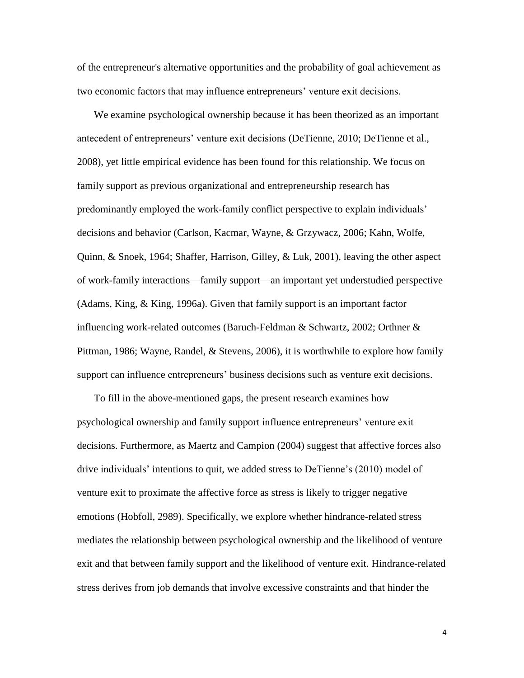of the entrepreneur's alternative opportunities and the probability of goal achievement as two economic factors that may influence entrepreneurs' venture exit decisions.

We examine psychological ownership because it has been theorized as an important antecedent of entrepreneurs' venture exit decisions [\(DeTienne, 2010;](#page-28-2) [DeTienne et al.,](#page-28-0)  [2008\)](#page-28-0), yet little empirical evidence has been found for this relationship. We focus on family support as previous organizational and entrepreneurship research has predominantly employed the work-family conflict perspective to explain individuals' decisions and behavior [\(Carlson, Kacmar, Wayne, & Grzywacz, 2006;](#page-27-3) [Kahn, Wolfe,](#page-28-5)  [Quinn, & Snoek,](#page-28-5) 1964; [Shaffer, Harrison, Gilley, & Luk, 2001\)](#page-29-2), leaving the other aspect of work-family interactions—family support—an important yet understudied perspective [\(Adams, King, & King, 1996a\)](#page-27-4). Given that family support is an important factor influencing work-related outcomes [\(Baruch-Feldman & Schwartz, 2002;](#page-27-5) [Orthner &](#page-29-3)  [Pittman, 1986;](#page-29-3) [Wayne, Randel, & Stevens, 2006\)](#page-30-1), it is worthwhile to explore how family support can influence entrepreneurs' business decisions such as venture exit decisions.

To fill in the above-mentioned gaps, the present research examines how psychological ownership and family support influence entrepreneurs' venture exit decisions. Furthermore, as Maertz and Campion [\(2004\)](#page-29-4) suggest that affective forces also drive individuals' intentions to quit, we added stress to DeTienne's (2010) model of venture exit to proximate the affective force as stress is likely to trigger negative emotions (Hobfoll, 2989). Specifically, we explore whether hindrance-related stress mediates the relationship between psychological ownership and the likelihood of venture exit and that between family support and the likelihood of venture exit. Hindrance-related stress derives from job demands that involve excessive constraints and that hinder the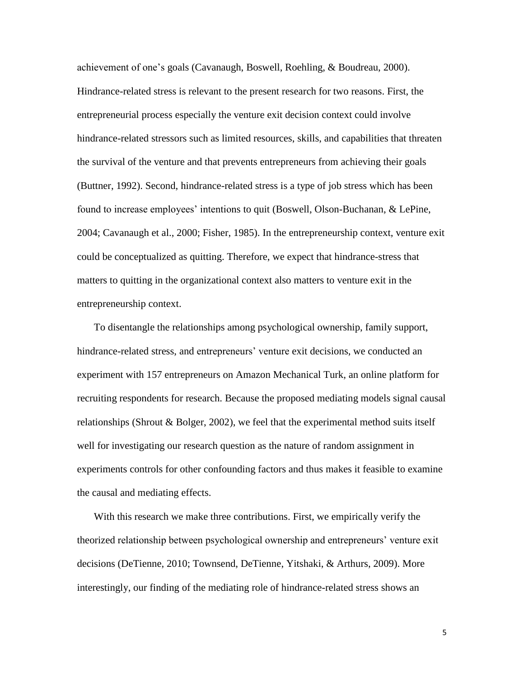achievement of one's goals [\(Cavanaugh, Boswell, Roehling, & Boudreau, 2000\)](#page-27-6). Hindrance-related stress is relevant to the present research for two reasons. First, the entrepreneurial process especially the venture exit decision context could involve hindrance-related stressors such as limited resources, skills, and capabilities that threaten the survival of the venture and that prevents entrepreneurs from achieving their goals [\(Buttner, 1992\)](#page-27-7). Second, hindrance-related stress is a type of job stress which has been found to increase employees' intentions to quit [\(Boswell, Olson-Buchanan, & LePine,](#page-27-8)  [2004;](#page-27-8) [Cavanaugh et al., 2000;](#page-27-6) [Fisher, 1985\)](#page-28-6). In the entrepreneurship context, venture exit could be conceptualized as quitting. Therefore, we expect that hindrance-stress that matters to quitting in the organizational context also matters to venture exit in the entrepreneurship context.

To disentangle the relationships among psychological ownership, family support, hindrance-related stress, and entrepreneurs' venture exit decisions, we conducted an experiment with 157 entrepreneurs on Amazon Mechanical Turk, an online platform for recruiting respondents for research. Because the proposed mediating models signal causal relationships (Shrout & Bolger, 2002), we feel that the experimental method suits itself well for investigating our research question as the nature of random assignment in experiments controls for other confounding factors and thus makes it feasible to examine the causal and mediating effects.

With this research we make three contributions. First, we empirically verify the theorized relationship between psychological ownership and entrepreneurs' venture exit decisions [\(DeTienne, 2010;](#page-28-2) [Townsend, DeTienne, Yitshaki, & Arthurs, 2009\)](#page-29-5). More interestingly, our finding of the mediating role of hindrance-related stress shows an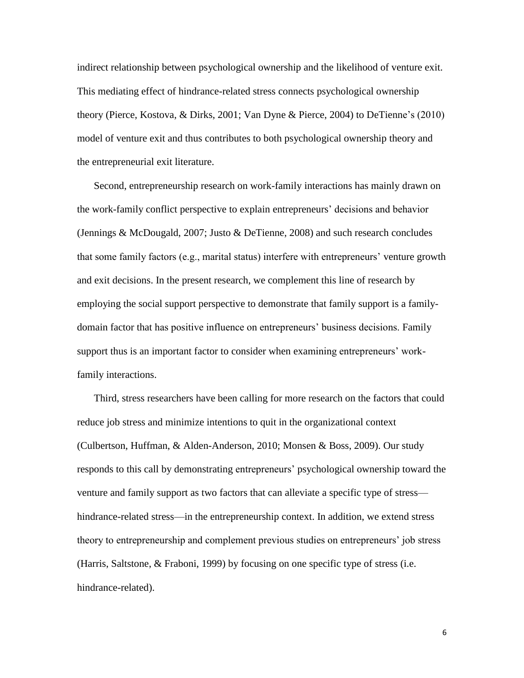indirect relationship between psychological ownership and the likelihood of venture exit. This mediating effect of hindrance-related stress connects psychological ownership theory [\(Pierce, Kostova, & Dirks, 2001;](#page-29-6) [Van Dyne & Pierce, 2004\)](#page-29-7) to DeTienne's (2010) model of venture exit and thus contributes to both psychological ownership theory and the entrepreneurial exit literature.

Second, entrepreneurship research on work-family interactions has mainly drawn on the work-family conflict perspective to explain entrepreneurs' decisions and behavior [\(Jennings & McDougald, 2007;](#page-28-7) [Justo & DeTienne, 2008\)](#page-28-8) and such research concludes that some family factors (e.g., marital status) interfere with entrepreneurs' venture growth and exit decisions. In the present research, we complement this line of research by employing the social support perspective to demonstrate that family support is a familydomain factor that has positive influence on entrepreneurs' business decisions. Family support thus is an important factor to consider when examining entrepreneurs' workfamily interactions.

Third, stress researchers have been calling for more research on the factors that could reduce job stress and minimize intentions to quit in the organizational context [\(Culbertson, Huffman, & Alden-Anderson, 2010;](#page-27-9) [Monsen & Boss, 2009\)](#page-29-8). Our study responds to this call by demonstrating entrepreneurs' psychological ownership toward the venture and family support as two factors that can alleviate a specific type of stress hindrance-related stress—in the entrepreneurship context. In addition, we extend stress theory to entrepreneurship and complement previous studies on entrepreneurs' job stress [\(Harris, Saltstone, & Fraboni, 1999\)](#page-28-9) by focusing on one specific type of stress (i.e. hindrance-related).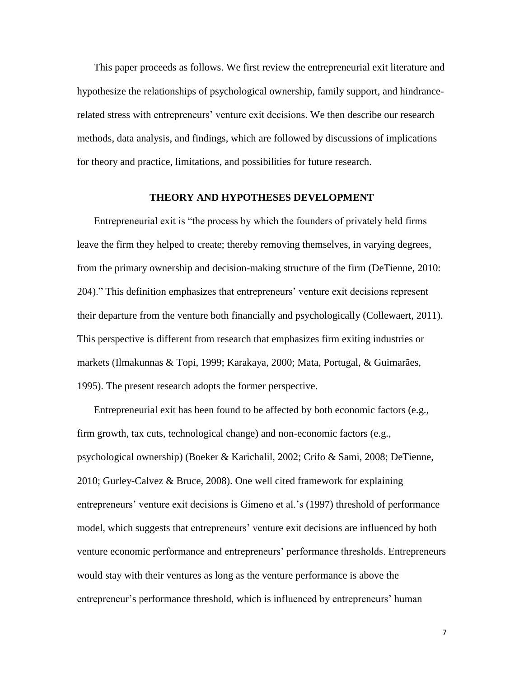This paper proceeds as follows. We first review the entrepreneurial exit literature and hypothesize the relationships of psychological ownership, family support, and hindrancerelated stress with entrepreneurs' venture exit decisions. We then describe our research methods, data analysis, and findings, which are followed by discussions of implications for theory and practice, limitations, and possibilities for future research.

# **THEORY AND HYPOTHESES DEVELOPMENT**

Entrepreneurial exit is "the process by which the founders of privately held firms leave the firm they helped to create; thereby removing themselves, in varying degrees, from the primary ownership and decision-making structure of the firm [\(DeTienne, 2010:](#page-28-2)  [204\)](#page-28-2)." This definition emphasizes that entrepreneurs' venture exit decisions represent their departure from the venture both financially and psychologically [\(Collewaert, 2011\)](#page-27-1). This perspective is different from research that emphasizes firm exiting industries or markets [\(Ilmakunnas & Topi, 1999;](#page-28-10) [Karakaya, 2000;](#page-28-4) [Mata, Portugal, & Guimarães,](#page-29-9)  [1995\)](#page-29-9). The present research adopts the former perspective.

Entrepreneurial exit has been found to be affected by both economic factors (e.g., firm growth, tax cuts, technological change) and non-economic factors (e.g., psychological ownership) [\(Boeker & Karichalil, 2002;](#page-27-10) [Crifo & Sami, 2008;](#page-27-2) [DeTienne,](#page-28-2)  [2010;](#page-28-2) [Gurley-Calvez & Bruce, 2008\)](#page-28-1). One well cited framework for explaining entrepreneurs' venture exit decisions is Gimeno et al.'s [\(1997\)](#page-28-3) threshold of performance model, which suggests that entrepreneurs' venture exit decisions are influenced by both venture economic performance and entrepreneurs' performance thresholds. Entrepreneurs would stay with their ventures as long as the venture performance is above the entrepreneur's performance threshold, which is influenced by entrepreneurs' human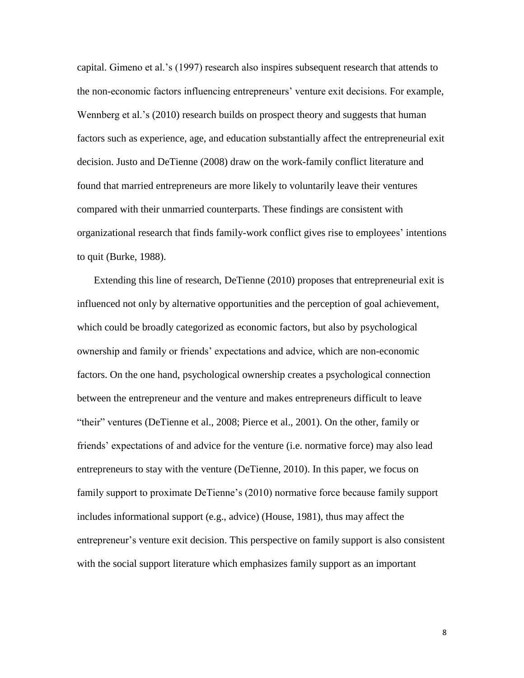capital. Gimeno et al.'s (1997) research also inspires subsequent research that attends to the non-economic factors influencing entrepreneurs' venture exit decisions. For example, Wennberg et al.'s [\(2010\)](#page-30-2) research builds on prospect theory and suggests that human factors such as experience, age, and education substantially affect the entrepreneurial exit decision. Justo and DeTienne [\(2008\)](#page-28-8) draw on the work-family conflict literature and found that married entrepreneurs are more likely to voluntarily leave their ventures compared with their unmarried counterparts. These findings are consistent with organizational research that finds family-work conflict gives rise to employees' intentions to quit [\(Burke, 1988\)](#page-27-11).

Extending this line of research, DeTienne [\(2010\)](#page-28-2) proposes that entrepreneurial exit is influenced not only by alternative opportunities and the perception of goal achievement, which could be broadly categorized as economic factors, but also by psychological ownership and family or friends' expectations and advice, which are non-economic factors. On the one hand, psychological ownership creates a psychological connection between the entrepreneur and the venture and makes entrepreneurs difficult to leave "their" ventures [\(DeTienne et al., 2008;](#page-28-0) [Pierce et al., 2001\)](#page-29-6). On the other, family or friends' expectations of and advice for the venture (i.e. normative force) may also lead entrepreneurs to stay with the venture [\(DeTienne, 2010\)](#page-28-2). In this paper, we focus on family support to proximate DeTienne's (2010) normative force because family support includes informational support (e.g., advice) [\(House, 1981\)](#page-28-11), thus may affect the entrepreneur's venture exit decision. This perspective on family support is also consistent with the social support literature which emphasizes family support as an important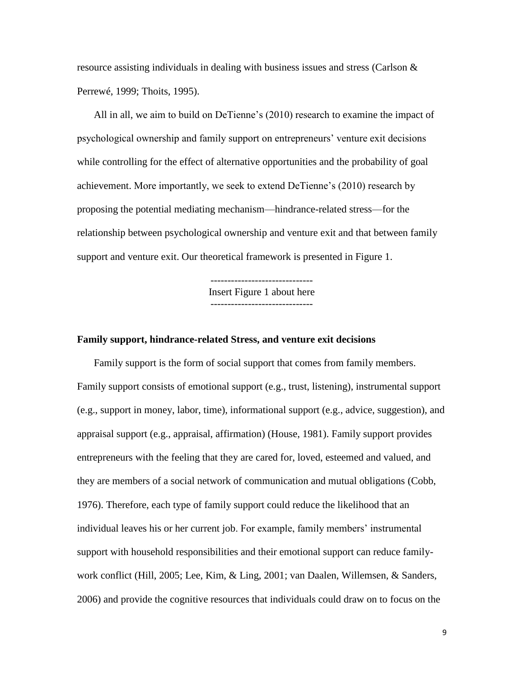resource assisting individuals in dealing with business issues and stress (Carlson  $\&$ [Perrewé, 1999;](#page-27-12) [Thoits, 1995\)](#page-29-10).

All in all, we aim to build on DeTienne's (2010) research to examine the impact of psychological ownership and family support on entrepreneurs' venture exit decisions while controlling for the effect of alternative opportunities and the probability of goal achievement. More importantly, we seek to extend DeTienne's (2010) research by proposing the potential mediating mechanism—hindrance-related stress—for the relationship between psychological ownership and venture exit and that between family support and venture exit. Our theoretical framework is presented in Figure 1.

> Insert Figure 1 about here ------------------------------

#### **Family support, hindrance-related Stress, and venture exit decisions**

Family support is the form of social support that comes from family members. Family support consists of emotional support (e.g., trust, listening), instrumental support (e.g., support in money, labor, time), informational support (e.g., advice, suggestion), and appraisal support (e.g., appraisal, affirmation) [\(House, 1981\)](#page-28-11). Family support provides entrepreneurs with the feeling that they are cared for, loved, esteemed and valued, and they are members of a social network of communication and mutual obligations [\(Cobb,](#page-27-13)  [1976\)](#page-27-13). Therefore, each type of family support could reduce the likelihood that an individual leaves his or her current job. For example, family members' instrumental support with household responsibilities and their emotional support can reduce familywork conflict [\(Hill, 2005;](#page-28-12) [Lee, Kim, & Ling, 2001;](#page-29-11) [van Daalen, Willemsen, & Sanders,](#page-29-12)  [2006\)](#page-29-12) and provide the cognitive resources that individuals could draw on to focus on the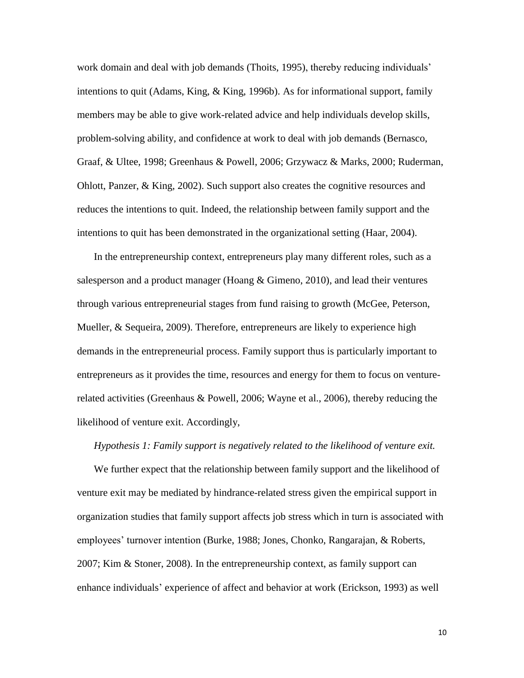work domain and deal with job demands [\(Thoits, 1995\)](#page-29-10), thereby reducing individuals' intentions to quit [\(Adams, King, & King, 1996b\)](#page-27-14). As for informational support, family members may be able to give work-related advice and help individuals develop skills, problem-solving ability, and confidence at work to deal with job demands [\(Bernasco,](#page-27-15)  [Graaf, & Ultee, 1998;](#page-27-15) [Greenhaus & Powell, 2006;](#page-28-13) [Grzywacz & Marks, 2000;](#page-28-14) [Ruderman,](#page-29-13)  [Ohlott, Panzer, & King, 2002\)](#page-29-13). Such support also creates the cognitive resources and reduces the intentions to quit. Indeed, the relationship between family support and the intentions to quit has been demonstrated in the organizational setting [\(Haar, 2004\)](#page-28-15).

In the entrepreneurship context, entrepreneurs play many different roles, such as a salesperson and a product manager (Hoang  $\&$  Gimeno, 2010), and lead their ventures through various entrepreneurial stages from fund raising to growth [\(McGee, Peterson,](#page-29-14)  [Mueller, & Sequeira, 2009\)](#page-29-14). Therefore, entrepreneurs are likely to experience high demands in the entrepreneurial process. Family support thus is particularly important to entrepreneurs as it provides the time, resources and energy for them to focus on venturerelated activities [\(Greenhaus &](#page-28-13) Powell, 2006; [Wayne et al., 2006\)](#page-30-1), thereby reducing the likelihood of venture exit. Accordingly,

#### *Hypothesis 1: Family support is negatively related to the likelihood of venture exit.*

We further expect that the relationship between family support and the likelihood of venture exit may be mediated by hindrance-related stress given the empirical support in organization studies that family support affects job stress which in turn is associated with employees' turnover intention [\(Burke, 1988;](#page-27-11) [Jones, Chonko, Rangarajan, & Roberts,](#page-28-17)  [2007;](#page-28-17) [Kim & Stoner, 2008\)](#page-28-18). In the entrepreneurship context, as family support can enhance individuals' experience of affect and behavior at work [\(Erickson, 1993\)](#page-28-19) as well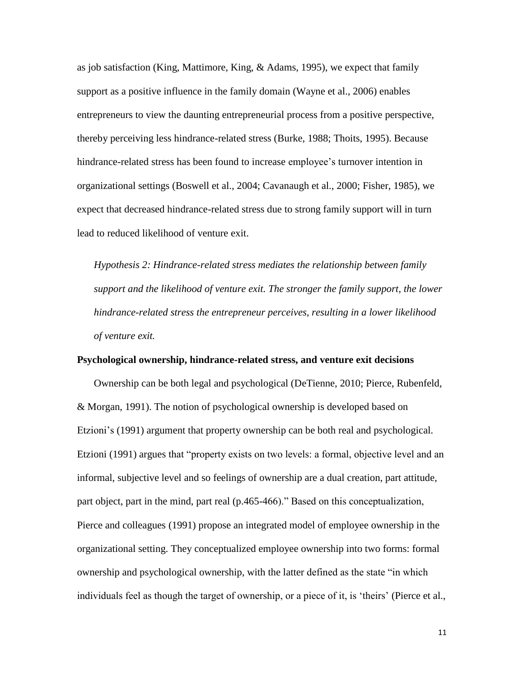as job satisfaction [\(King, Mattimore, King, & Adams, 1995\)](#page-29-15), we expect that family support as a positive influence in the family domain [\(Wayne et al., 2006\)](#page-30-1) enables entrepreneurs to view the daunting entrepreneurial process from a positive perspective, thereby perceiving less hindrance-related stress [\(Burke, 1988;](#page-27-11) [Thoits, 1995\)](#page-29-10). Because hindrance-related stress has been found to increase employee's turnover intention in organizational settings [\(Boswell et al., 2004;](#page-27-8) [Cavanaugh et al., 2000;](#page-27-6) [Fisher, 1985\)](#page-28-6), we expect that decreased hindrance-related stress due to strong family support will in turn lead to reduced likelihood of venture exit.

*Hypothesis 2: Hindrance-related stress mediates the relationship between family support and the likelihood of venture exit. The stronger the family support, the lower hindrance-related stress the entrepreneur perceives, resulting in a lower likelihood of venture exit.*

#### **Psychological ownership, hindrance-related stress, and venture exit decisions**

Ownership can be both legal and psychological [\(DeTienne, 2010;](#page-28-2) [Pierce, Rubenfeld,](#page-29-16)  [& Morgan, 1991\)](#page-29-16). The notion of psychological ownership is developed based on Etzioni's [\(1991\)](#page-28-20) argument that property ownership can be both real and psychological. Etzioni (1991) argues that "property exists on two levels: a formal, objective level and an informal, subjective level and so feelings of ownership are a dual creation, part attitude, part object, part in the mind, part real (p.465-466)." Based on this conceptualization, Pierce and colleagues [\(1991\)](#page-29-16) propose an integrated model of employee ownership in the organizational setting. They conceptualized employee ownership into two forms: formal ownership and psychological ownership, with the latter defined as the state "in which individuals feel as though the target of ownership, or a piece of it, is 'theirs' [\(Pierce et al.,](#page-29-6)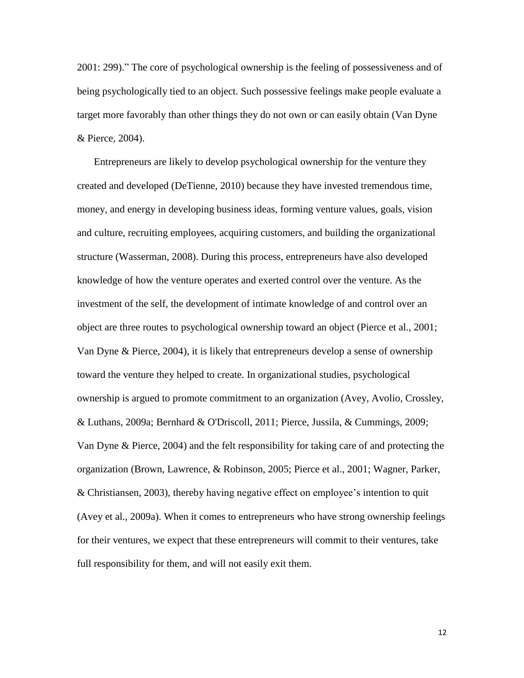[2001: 299\)](#page-29-6)." The core of psychological ownership is the feeling of possessiveness and of being psychologically tied to an object. Such possessive feelings make people evaluate a target more favorably than other things they do not own or can easily obtain [\(Van Dyne](#page-29-7)  [& Pierce, 2004\)](#page-29-7).

Entrepreneurs are likely to develop psychological ownership for the venture they created and developed [\(DeTienne, 2010\)](#page-28-2) because they have invested tremendous time, money, and energy in developing business ideas, forming venture values, goals, vision and culture, recruiting employees, acquiring customers, and building the organizational structure (Wasserman, 2008). During this process, entrepreneurs have also developed knowledge of how the venture operates and exerted control over the venture. As the investment of the self, the development of intimate knowledge of and control over an object are three routes to psychological ownership toward an object [\(Pierce et al., 2001;](#page-29-6) [Van Dyne & Pierce, 2004\)](#page-29-7), it is likely that entrepreneurs develop a sense of ownership toward the venture they helped to create. In organizational studies, psychological ownership is argued to promote commitment to an organization (Avey, [Avolio, Crossley,](#page-27-16)  [& Luthans, 2009a;](#page-27-16) [Bernhard & O'Driscoll, 2011;](#page-27-17) [Pierce, Jussila, & Cummings, 2009;](#page-29-17) [Van Dyne & Pierce, 2004\)](#page-29-7) and the felt responsibility for taking care of and protecting the organization [\(Brown, Lawrence, & Robinson, 2005;](#page-27-18) [Pierce et al., 2001;](#page-29-6) [Wagner, Parker,](#page-30-3)  [& Christiansen, 2003\)](#page-30-3), thereby having negative effect on employee's intention to quit [\(Avey et al., 2009a\)](#page-27-16). When it comes to entrepreneurs who have strong ownership feelings for their ventures, we expect that these entrepreneurs will commit to their ventures, take full responsibility for them, and will not easily exit them.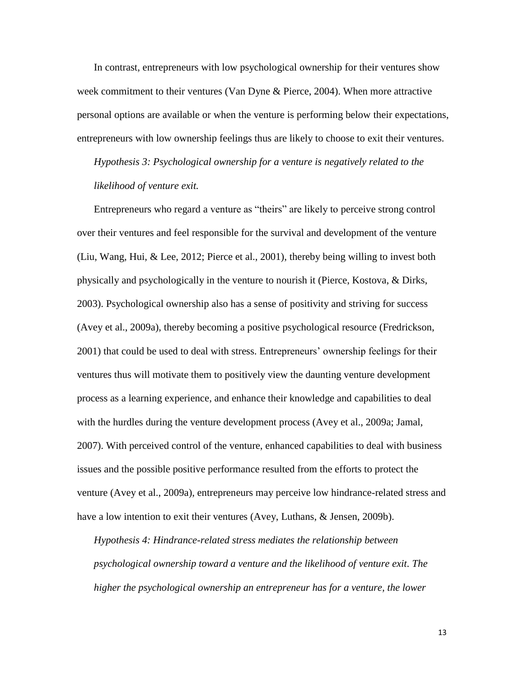In contrast, entrepreneurs with low psychological ownership for their ventures show week commitment to their ventures [\(Van Dyne & Pierce, 2004\)](#page-29-7). When more attractive personal options are available or when the venture is performing below their expectations, entrepreneurs with low ownership feelings thus are likely to choose to exit their ventures.

*Hypothesis 3: Psychological ownership for a venture is negatively related to the likelihood of venture exit.*

Entrepreneurs who regard a venture as "theirs" are likely to perceive strong control over their ventures and feel responsible for the survival and development of the venture [\(Liu, Wang, Hui, & Lee, 2012;](#page-29-18) [Pierce et al., 2001\)](#page-29-6), thereby being willing to invest both physically and psychologically in the venture to nourish it [\(Pierce, Kostova, & Dirks,](#page-29-19)  [2003\)](#page-29-19). Psychological ownership also has a sense of positivity and striving for success [\(Avey et al., 2009a\)](#page-27-16), thereby becoming a positive psychological resource [\(Fredrickson,](#page-28-21)  [2001\)](#page-28-21) that could be used to deal with stress. Entrepreneurs' ownership feelings for their ventures thus will motivate them to positively view the daunting venture development process as a learning experience, and enhance their knowledge and capabilities to deal with the hurdles during the venture development process [\(Avey et al., 2009a;](#page-27-16) [Jamal,](#page-28-22)  [2007\)](#page-28-22). With perceived control of the venture, enhanced capabilities to deal with business issues and the possible positive performance resulted from the efforts to protect the venture [\(Avey et al., 2009a\)](#page-27-16), entrepreneurs may perceive low hindrance-related stress and have a low intention to exit their ventures [\(Avey, Luthans, & Jensen, 2009b\)](#page-27-19).

*Hypothesis 4: Hindrance-related stress mediates the relationship between psychological ownership toward a venture and the likelihood of venture exit. The higher the psychological ownership an entrepreneur has for a venture, the lower*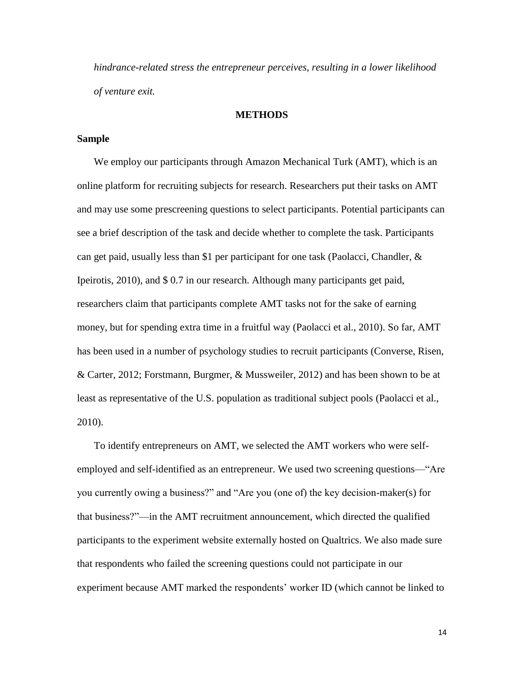*hindrance-related stress the entrepreneur perceives, resulting in a lower likelihood of venture exit.*

#### **METHODS**

## **Sample**

We employ our participants through Amazon Mechanical Turk (AMT), which is an online platform for recruiting subjects for research. Researchers put their tasks on AMT and may use some prescreening questions to select participants. Potential participants can see a brief description of the task and decide whether to complete the task. Participants can get paid, usually less than \$1 per participant for one task (Paolacci, Chandler,  $\&$ [Ipeirotis, 2010\)](#page-29-20), and \$ 0.7 in our research. Although many participants get paid, researchers claim that participants complete AMT tasks not for the sake of earning money, but for spending extra time in a fruitful way [\(Paolacci et al., 2010\)](#page-29-20). So far, AMT has been used in a number of psychology studies to recruit participants [\(Converse, Risen,](#page-27-20)  [& Carter, 2012;](#page-27-20) [Forstmann, Burgmer, & Mussweiler, 2012\)](#page-28-23) and has been shown to be at least as representative of the U.S. population as traditional subject pools [\(Paolacci et al.,](#page-29-20)  [2010\)](#page-29-20).

To identify entrepreneurs on AMT, we selected the AMT workers who were selfemployed and self-identified as an entrepreneur. We used two screening questions—"Are you currently owing a business?" and "Are you (one of) the key decision-maker(s) for that business?"—in the AMT recruitment announcement, which directed the qualified participants to the experiment website externally hosted on Qualtrics. We also made sure that respondents who failed the screening questions could not participate in our experiment because AMT marked the respondents' worker ID (which cannot be linked to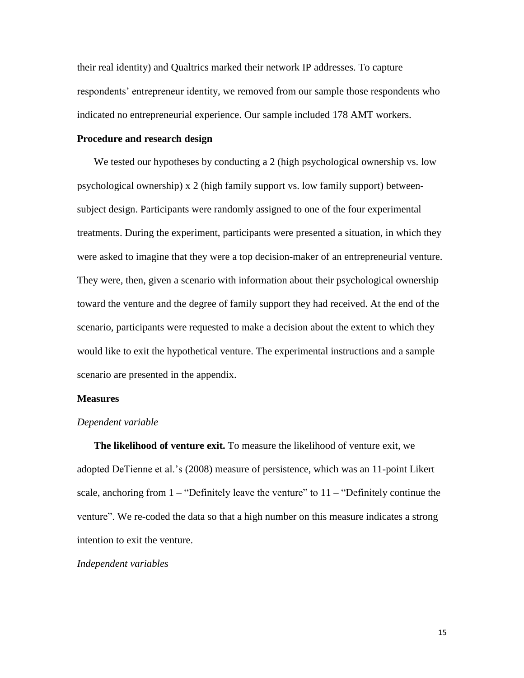their real identity) and Qualtrics marked their network IP addresses. To capture respondents' entrepreneur identity, we removed from our sample those respondents who indicated no entrepreneurial experience. Our sample included 178 AMT workers.

## **Procedure and research design**

We tested our hypotheses by conducting a 2 (high psychological ownership vs. low psychological ownership) x 2 (high family support vs. low family support) betweensubject design. Participants were randomly assigned to one of the four experimental treatments. During the experiment, participants were presented a situation, in which they were asked to imagine that they were a top decision-maker of an entrepreneurial venture. They were, then, given a scenario with information about their psychological ownership toward the venture and the degree of family support they had received. At the end of the scenario, participants were requested to make a decision about the extent to which they would like to exit the hypothetical venture. The experimental instructions and a sample scenario are presented in the appendix.

## **Measures**

#### *Dependent variable*

**The likelihood of venture exit.** To measure the likelihood of venture exit, we adopted DeTienne et al.'s [\(2008\)](#page-28-0) measure of persistence, which was an 11-point Likert scale, anchoring from  $1 -$  "Definitely leave the venture" to  $11 -$  "Definitely continue the venture". We re-coded the data so that a high number on this measure indicates a strong intention to exit the venture.

#### *Independent variables*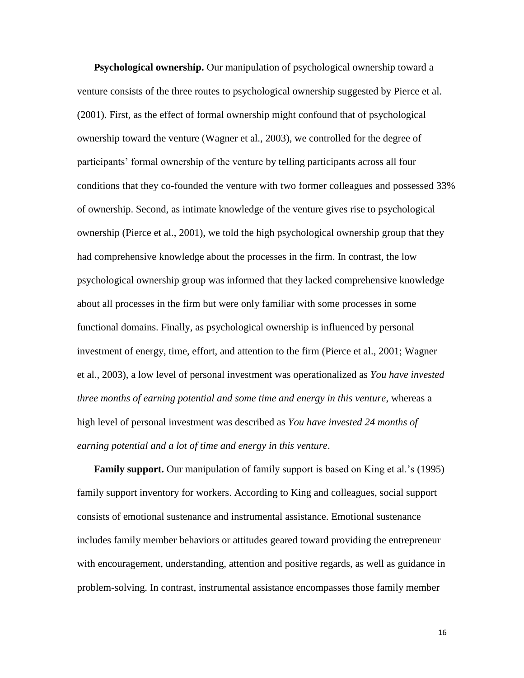**Psychological ownership.** Our manipulation of psychological ownership toward a venture consists of the three routes to psychological ownership suggested by Pierce et al. [\(2001\)](#page-29-6). First, as the effect of formal ownership might confound that of psychological ownership toward the venture [\(Wagner et al., 2003\)](#page-30-3), we controlled for the degree of participants' formal ownership of the venture by telling participants across all four conditions that they co-founded the venture with two former colleagues and possessed 33% of ownership. Second, as intimate knowledge of the venture gives rise to psychological ownership [\(Pierce et al., 2001\)](#page-29-6), we told the high psychological ownership group that they had comprehensive knowledge about the processes in the firm. In contrast, the low psychological ownership group was informed that they lacked comprehensive knowledge about all processes in the firm but were only familiar with some processes in some functional domains. Finally, as psychological ownership is influenced by personal investment of energy, time, effort, and attention to the firm [\(Pierce et al., 2001;](#page-29-6) [Wagner](#page-30-3)  [et al., 2003\)](#page-30-3), a low level of personal investment was operationalized as *You have invested three months of earning potential and some time and energy in this venture*, whereas a high level of personal investment was described as *You have invested 24 months of earning potential and a lot of time and energy in this venture*.

**Family support.** Our manipulation of family support is based on King et al.'s [\(1995\)](#page-29-15) family support inventory for workers. According to King and colleagues, social support consists of emotional sustenance and instrumental assistance. Emotional sustenance includes family member behaviors or attitudes geared toward providing the entrepreneur with encouragement, understanding, attention and positive regards, as well as guidance in problem-solving. In contrast, instrumental assistance encompasses those family member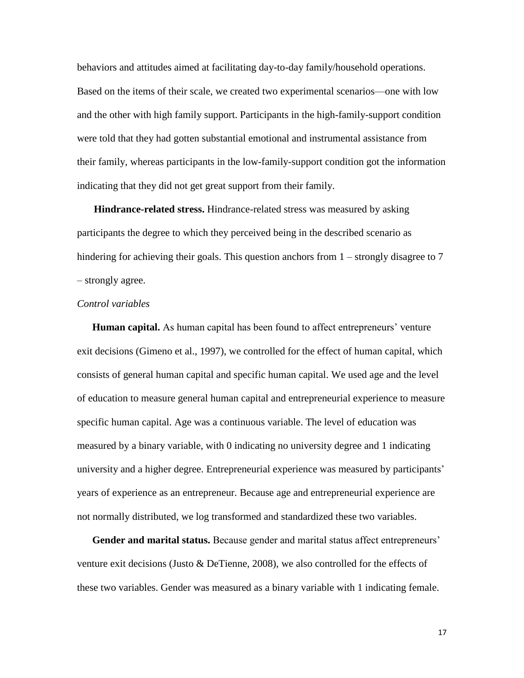behaviors and attitudes aimed at facilitating day-to-day family/household operations. Based on the items of their scale, we created two experimental scenarios—one with low and the other with high family support. Participants in the high-family-support condition were told that they had gotten substantial emotional and instrumental assistance from their family, whereas participants in the low-family-support condition got the information indicating that they did not get great support from their family.

**Hindrance-related stress.** Hindrance-related stress was measured by asking participants the degree to which they perceived being in the described scenario as hindering for achieving their goals. This question anchors from  $1$  – strongly disagree to 7 – strongly agree.

## *Control variables*

**Human capital.** As human capital has been found to affect entrepreneurs' venture exit decisions [\(Gimeno et al., 1997\)](#page-28-3), we controlled for the effect of human capital, which consists of general human capital and specific human capital. We used age and the level of education to measure general human capital and entrepreneurial experience to measure specific human capital. Age was a continuous variable. The level of education was measured by a binary variable, with 0 indicating no university degree and 1 indicating university and a higher degree. Entrepreneurial experience was measured by participants' years of experience as an entrepreneur. Because age and entrepreneurial experience are not normally distributed, we log transformed and standardized these two variables.

**Gender and marital status.** Because gender and marital status affect entrepreneurs' venture exit decisions [\(Justo & DeTienne, 2008\)](#page-28-8), we also controlled for the effects of these two variables. Gender was measured as a binary variable with 1 indicating female.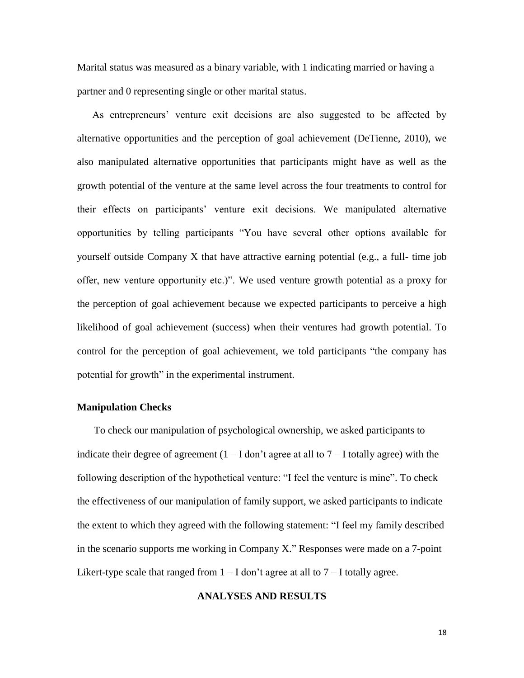Marital status was measured as a binary variable, with 1 indicating married or having a partner and 0 representing single or other marital status.

As entrepreneurs' venture exit decisions are also suggested to be affected by alternative opportunities and the perception of goal achievement [\(DeTienne, 2010\)](#page-28-2), we also manipulated alternative opportunities that participants might have as well as the growth potential of the venture at the same level across the four treatments to control for their effects on participants' venture exit decisions. We manipulated alternative opportunities by telling participants "You have several other options available for yourself outside Company X that have attractive earning potential (e.g., a full- time job offer, new venture opportunity etc.)". We used venture growth potential as a proxy for the perception of goal achievement because we expected participants to perceive a high likelihood of goal achievement (success) when their ventures had growth potential. To control for the perception of goal achievement, we told participants "the company has potential for growth" in the experimental instrument.

## **Manipulation Checks**

To check our manipulation of psychological ownership, we asked participants to indicate their degree of agreement  $(1 - I \text{ don't agree at all to } 7 - I \text{ totally agree})$  with the following description of the hypothetical venture: "I feel the venture is mine". To check the effectiveness of our manipulation of family support, we asked participants to indicate the extent to which they agreed with the following statement: "I feel my family described in the scenario supports me working in Company X." Responses were made on a 7-point Likert-type scale that ranged from  $1 - I$  don't agree at all to  $7 - I$  totally agree.

## **ANALYSES AND RESULTS**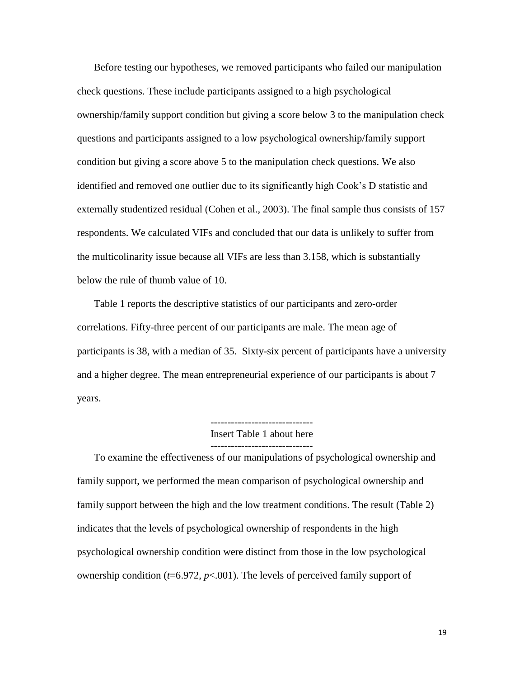Before testing our hypotheses, we removed participants who failed our manipulation check questions. These include participants assigned to a high psychological ownership/family support condition but giving a score below 3 to the manipulation check questions and participants assigned to a low psychological ownership/family support condition but giving a score above 5 to the manipulation check questions. We also identified and removed one outlier due to its significantly high Cook's D statistic and externally studentized residual (Cohen et al., 2003). The final sample thus consists of 157 respondents. We calculated VIFs and concluded that our data is unlikely to suffer from the multicolinarity issue because all VIFs are less than 3.158, which is substantially below the rule of thumb value of 10.

Table 1 reports the descriptive statistics of our participants and zero-order correlations. Fifty-three percent of our participants are male. The mean age of participants is 38, with a median of 35. Sixty-six percent of participants have a university and a higher degree. The mean entrepreneurial experience of our participants is about 7 years.

Insert Table 1 about here

------------------------------

To examine the effectiveness of our manipulations of psychological ownership and family support, we performed the mean comparison of psychological ownership and family support between the high and the low treatment conditions. The result (Table 2) indicates that the levels of psychological ownership of respondents in the high psychological ownership condition were distinct from those in the low psychological ownership condition  $(t=6.972, p<0.01)$ . The levels of perceived family support of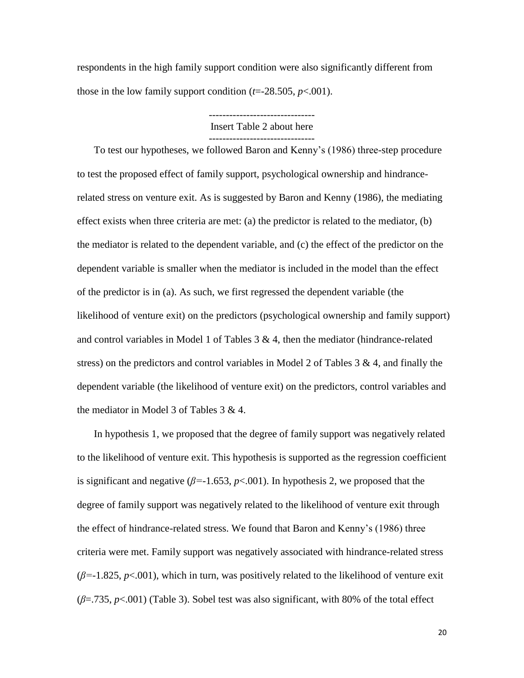respondents in the high family support condition were also significantly different from those in the low family support condition  $(t=28.505, p<.001)$ .

Insert Table 2 about here

-------------------------------

------------------------------- To test our hypotheses, we followed Baron and Kenny's (1986) three-step procedure to test the proposed effect of family support, psychological ownership and hindrancerelated stress on venture exit. As is suggested by Baron and Kenny (1986), the mediating effect exists when three criteria are met: (a) the predictor is related to the mediator, (b) the mediator is related to the dependent variable, and (c) the effect of the predictor on the dependent variable is smaller when the mediator is included in the model than the effect of the predictor is in (a). As such, we first regressed the dependent variable (the likelihood of venture exit) on the predictors (psychological ownership and family support) and control variables in Model 1 of Tables 3 & 4, then the mediator (hindrance-related stress) on the predictors and control variables in Model 2 of Tables  $3 \& 4$ , and finally the dependent variable (the likelihood of venture exit) on the predictors, control variables and the mediator in Model 3 of Tables 3 & 4.

In hypothesis 1, we proposed that the degree of family support was negatively related to the likelihood of venture exit. This hypothesis is supported as the regression coefficient is significant and negative ( $\beta$ =-1.653,  $p$ <.001). In hypothesis 2, we proposed that the degree of family support was negatively related to the likelihood of venture exit through the effect of hindrance-related stress. We found that Baron and Kenny's (1986) three criteria were met. Family support was negatively associated with hindrance-related stress (*β=*-1.825, *p*<.001), which in turn, was positively related to the likelihood of venture exit (*β*=.735, *p*<.001) (Table 3). Sobel test was also significant, with 80% of the total effect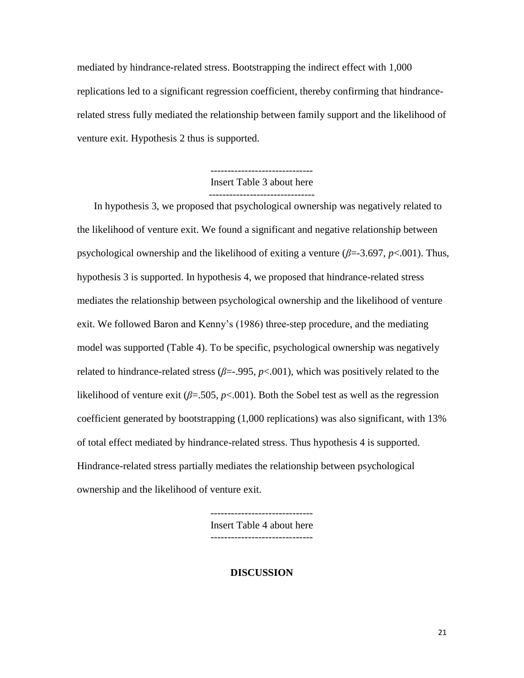mediated by hindrance-related stress. Bootstrapping the indirect effect with 1,000 replications led to a significant regression coefficient, thereby confirming that hindrancerelated stress fully mediated the relationship between family support and the likelihood of venture exit. Hypothesis 2 thus is supported.

# Insert Table 3 about here -------------------------------

In hypothesis 3, we proposed that psychological ownership was negatively related to the likelihood of venture exit. We found a significant and negative relationship between psychological ownership and the likelihood of exiting a venture (*β*=-3.697, *p*<.001). Thus, hypothesis 3 is supported. In hypothesis 4, we proposed that hindrance-related stress mediates the relationship between psychological ownership and the likelihood of venture exit. We followed Baron and Kenny's (1986) three-step procedure, and the mediating model was supported (Table 4). To be specific, psychological ownership was negatively related to hindrance-related stress (*β*=-.995, *p*<.001), which was positively related to the likelihood of venture exit ( $\beta$ =.505,  $p$ <.001). Both the Sobel test as well as the regression coefficient generated by bootstrapping (1,000 replications) was also significant, with 13% of total effect mediated by hindrance-related stress. Thus hypothesis 4 is supported. Hindrance-related stress partially mediates the relationship between psychological ownership and the likelihood of venture exit.

> ------------------------------ Insert Table 4 about here

## **DISCUSSION**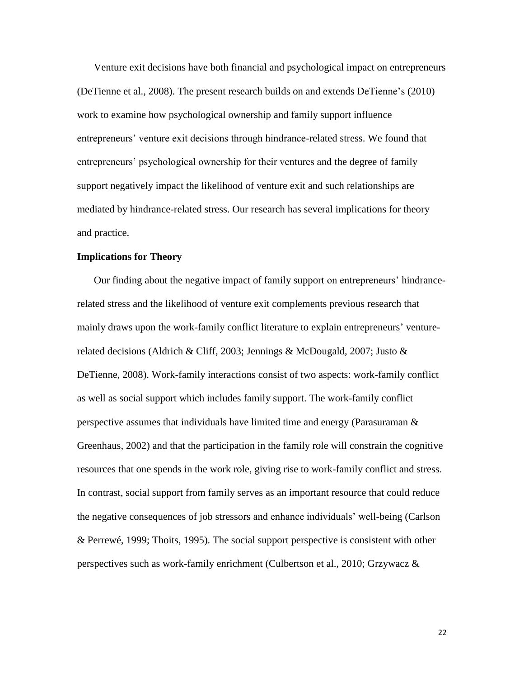Venture exit decisions have both financial and psychological impact on entrepreneurs [\(DeTienne et al., 2008\)](#page-28-0). The present research builds on and extends DeTienne's [\(2010\)](#page-28-2) work to examine how psychological ownership and family support influence entrepreneurs' venture exit decisions through hindrance-related stress. We found that entrepreneurs' psychological ownership for their ventures and the degree of family support negatively impact the likelihood of venture exit and such relationships are mediated by hindrance-related stress. Our research has several implications for theory and practice.

### **Implications for Theory**

Our finding about the negative impact of family support on entrepreneurs' hindrancerelated stress and the likelihood of venture exit complements previous research that mainly draws upon the work-family conflict literature to explain entrepreneurs' venturerelated decisions [\(Aldrich & Cliff, 2003;](#page-27-21) [Jennings & McDougald, 2007;](#page-28-7) [Justo &](#page-28-8)  [DeTienne, 2008\)](#page-28-8). Work-family interactions consist of two aspects: work-family conflict as well as social support which includes family support. The work-family conflict perspective assumes that individuals have limited time and energy (Parasuraman  $\&$ [Greenhaus, 2002\)](#page-29-21) and that the participation in the family role will constrain the cognitive resources that one spends in the work role, giving rise to work-family conflict and stress. In contrast, social support from family serves as an important resource that could reduce the negative consequences of job stressors and enhance individuals' well-being [\(Carlson](#page-27-12)  [& Perrewé, 1999;](#page-27-12) [Thoits, 1995\)](#page-29-10). The social support perspective is consistent with other perspectives such as work-family enrichment [\(Culbertson et al., 2010;](#page-27-9) [Grzywacz &](#page-28-14)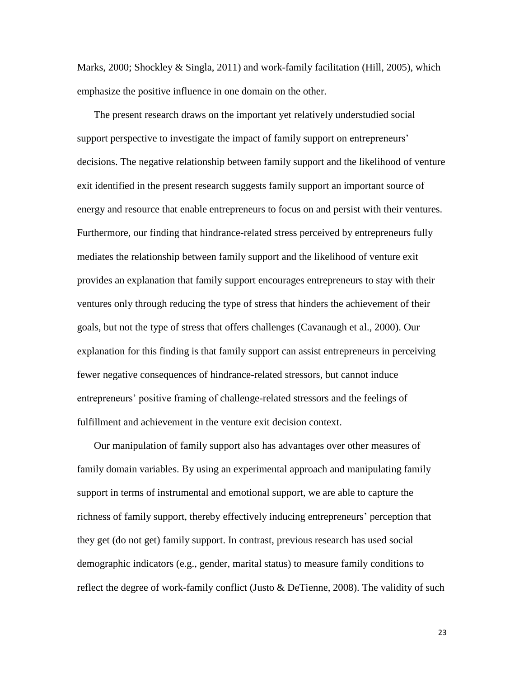[Marks, 2000;](#page-28-14) [Shockley & Singla, 2011\)](#page-29-22) and work-family facilitation [\(Hill, 2005\)](#page-28-12), which emphasize the positive influence in one domain on the other.

The present research draws on the important yet relatively understudied social support perspective to investigate the impact of family support on entrepreneurs' decisions. The negative relationship between family support and the likelihood of venture exit identified in the present research suggests family support an important source of energy and resource that enable entrepreneurs to focus on and persist with their ventures. Furthermore, our finding that hindrance-related stress perceived by entrepreneurs fully mediates the relationship between family support and the likelihood of venture exit provides an explanation that family support encourages entrepreneurs to stay with their ventures only through reducing the type of stress that hinders the achievement of their goals, but not the type of stress that offers challenges [\(Cavanaugh et al., 2000\)](#page-27-6). Our explanation for this finding is that family support can assist entrepreneurs in perceiving fewer negative consequences of hindrance-related stressors, but cannot induce entrepreneurs' positive framing of challenge-related stressors and the feelings of fulfillment and achievement in the venture exit decision context.

Our manipulation of family support also has advantages over other measures of family domain variables. By using an experimental approach and manipulating family support in terms of instrumental and emotional support, we are able to capture the richness of family support, thereby effectively inducing entrepreneurs' perception that they get (do not get) family support. In contrast, previous research has used social demographic indicators (e.g., gender, marital status) to measure family conditions to reflect the degree of work-family conflict [\(Justo & DeTienne, 2008\)](#page-28-8). The validity of such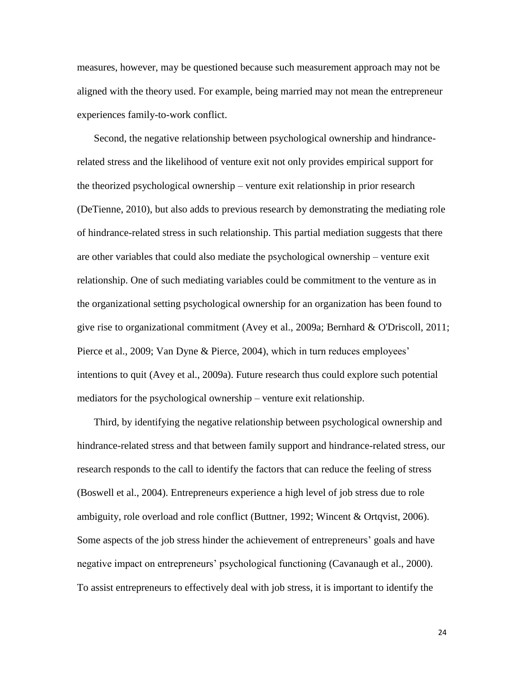measures, however, may be questioned because such measurement approach may not be aligned with the theory used. For example, being married may not mean the entrepreneur experiences family-to-work conflict.

Second, the negative relationship between psychological ownership and hindrancerelated stress and the likelihood of venture exit not only provides empirical support for the theorized psychological ownership – venture exit relationship in prior research [\(DeTienne, 2010\)](#page-28-2), but also adds to previous research by demonstrating the mediating role of hindrance-related stress in such relationship. This partial mediation suggests that there are other variables that could also mediate the psychological ownership – venture exit relationship. One of such mediating variables could be commitment to the venture as in the organizational setting psychological ownership for an organization has been found to give rise to organizational commitment [\(Avey et al., 2009a;](#page-27-16) [Bernhard & O'Driscoll, 2011;](#page-27-17) [Pierce et al., 2009;](#page-29-17) [Van Dyne & Pierce, 2004\)](#page-29-7), which in turn reduces employees' intentions to quit [\(Avey et al., 2009a\)](#page-27-16). Future research thus could explore such potential mediators for the psychological ownership – venture exit relationship.

Third, by identifying the negative relationship between psychological ownership and hindrance-related stress and that between family support and hindrance-related stress, our research responds to the call to identify the factors that can reduce the feeling of stress [\(Boswell et al., 2004\)](#page-27-8). Entrepreneurs experience a high level of job stress due to role ambiguity, role overload and role conflict [\(Buttner, 1992;](#page-27-7) [Wincent & Ortqvist, 2006\)](#page-30-4). Some aspects of the job stress hinder the achievement of entrepreneurs' goals and have negative impact on entrepreneurs' psychological functioning [\(Cavanaugh et al., 2000\)](#page-27-6). To assist entrepreneurs to effectively deal with job stress, it is important to identify the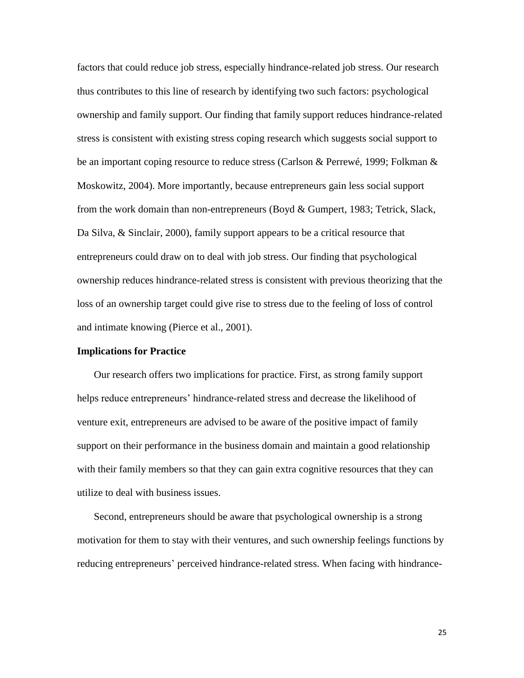factors that could reduce job stress, especially hindrance-related job stress. Our research thus contributes to this line of research by identifying two such factors: psychological ownership and family support. Our finding that family support reduces hindrance-related stress is consistent with existing stress coping research which suggests social support to be an important coping resource to reduce stress [\(Carlson & Perrewé, 1999;](#page-27-12) [Folkman &](#page-28-24)  [Moskowitz, 2004\)](#page-28-24). More importantly, because entrepreneurs gain less social support from the work domain than non-entrepreneurs [\(Boyd & Gumpert, 1983;](#page-27-22) [Tetrick, Slack,](#page-29-23)  [Da Silva, & Sinclair, 2000\)](#page-29-23), family support appears to be a critical resource that entrepreneurs could draw on to deal with job stress. Our finding that psychological ownership reduces hindrance-related stress is consistent with previous theorizing that the loss of an ownership target could give rise to stress due to the feeling of loss of control and intimate knowing [\(Pierce et al., 2001\)](#page-29-6).

#### **Implications for Practice**

Our research offers two implications for practice. First, as strong family support helps reduce entrepreneurs' hindrance-related stress and decrease the likelihood of venture exit, entrepreneurs are advised to be aware of the positive impact of family support on their performance in the business domain and maintain a good relationship with their family members so that they can gain extra cognitive resources that they can utilize to deal with business issues.

Second, entrepreneurs should be aware that psychological ownership is a strong motivation for them to stay with their ventures, and such ownership feelings functions by reducing entrepreneurs' perceived hindrance-related stress. When facing with hindrance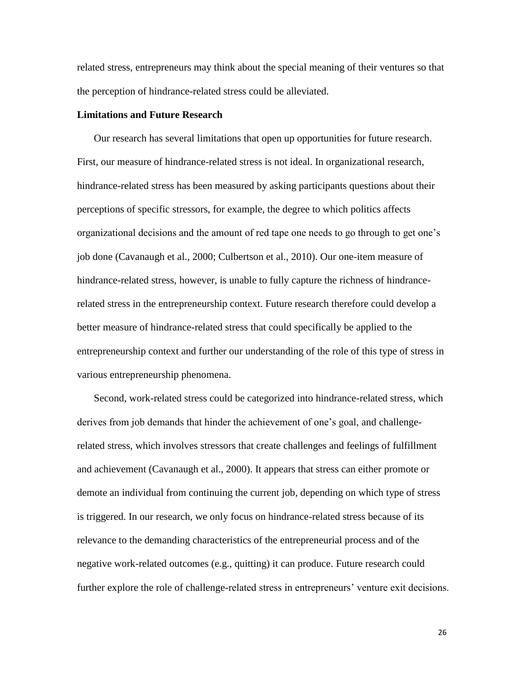related stress, entrepreneurs may think about the special meaning of their ventures so that the perception of hindrance-related stress could be alleviated.

# **Limitations and Future Research**

Our research has several limitations that open up opportunities for future research. First, our measure of hindrance-related stress is not ideal. In organizational research, hindrance-related stress has been measured by asking participants questions about their perceptions of specific stressors, for example, the degree to which politics affects organizational decisions and the amount of red tape one needs to go through to get one's job done [\(Cavanaugh et al., 2000;](#page-27-6) [Culbertson et al., 2010\)](#page-27-9). Our one-item measure of hindrance-related stress, however, is unable to fully capture the richness of hindrancerelated stress in the entrepreneurship context. Future research therefore could develop a better measure of hindrance-related stress that could specifically be applied to the entrepreneurship context and further our understanding of the role of this type of stress in various entrepreneurship phenomena.

Second, work-related stress could be categorized into hindrance-related stress, which derives from job demands that hinder the achievement of one's goal, and challengerelated stress, which involves stressors that create challenges and feelings of fulfillment and achievement [\(Cavanaugh et al., 2000\)](#page-27-6). It appears that stress can either promote or demote an individual from continuing the current job, depending on which type of stress is triggered. In our research, we only focus on hindrance-related stress because of its relevance to the demanding characteristics of the entrepreneurial process and of the negative work-related outcomes (e.g., quitting) it can produce. Future research could further explore the role of challenge-related stress in entrepreneurs' venture exit decisions.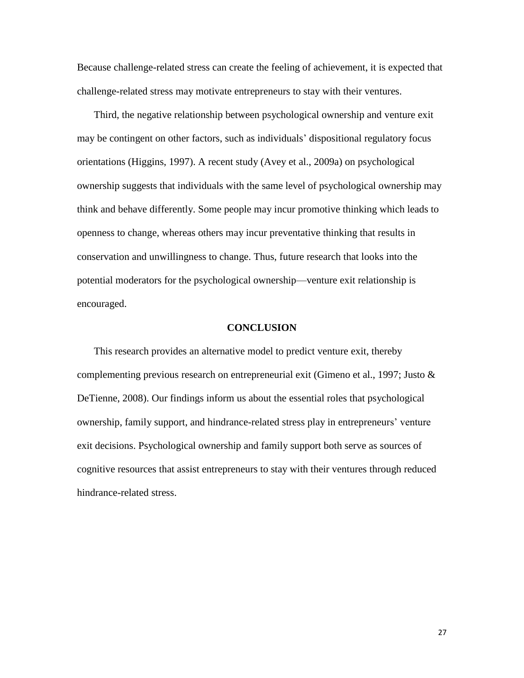Because challenge-related stress can create the feeling of achievement, it is expected that challenge-related stress may motivate entrepreneurs to stay with their ventures.

Third, the negative relationship between psychological ownership and venture exit may be contingent on other factors, such as individuals' dispositional regulatory focus orientations [\(Higgins, 1997\)](#page-28-25). A recent study [\(Avey et al., 2009a\)](#page-27-16) on psychological ownership suggests that individuals with the same level of psychological ownership may think and behave differently. Some people may incur promotive thinking which leads to openness to change, whereas others may incur preventative thinking that results in conservation and unwillingness to change. Thus, future research that looks into the potential moderators for the psychological ownership—venture exit relationship is encouraged.

#### **CONCLUSION**

This research provides an alternative model to predict venture exit, thereby complementing previous research on entrepreneurial exit [\(Gimeno et al., 1997;](#page-28-3) Justo  $\&$ [DeTienne, 2008\)](#page-28-8). Our findings inform us about the essential roles that psychological ownership, family support, and hindrance-related stress play in entrepreneurs' venture exit decisions. Psychological ownership and family support both serve as sources of cognitive resources that assist entrepreneurs to stay with their ventures through reduced hindrance-related stress.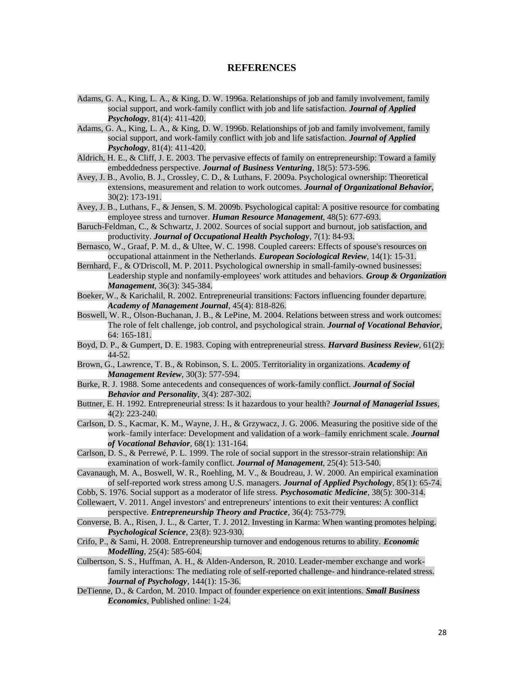#### **REFERENCES**

- <span id="page-27-4"></span>Adams, G. A., King, L. A., & King, D. W. 1996a. Relationships of job and family involvement, family social support, and work-family conflict with job and life satisfaction. *Journal of Applied Psychology*, 81(4): 411-420.
- <span id="page-27-14"></span>Adams, G. A., King, L. A., & King, D. W. 1996b. Relationships of job and family involvement, family social support, and work-family conflict with job and life satisfaction. *Journal of Applied Psychology*, 81(4): 411-420.
- <span id="page-27-21"></span>Aldrich, H. E., & Cliff, J. E. 2003. The pervasive effects of family on entrepreneurship: Toward a family embeddedness perspective. *Journal of Business Venturing*, 18(5): 573-596.
- <span id="page-27-16"></span>Avey, J. B., Avolio, B. J., Crossley, C. D., & Luthans, F. 2009a. Psychological ownership: Theoretical extensions, measurement and relation to work outcomes. *Journal of Organizational Behavior*, 30(2): 173-191.
- <span id="page-27-19"></span>Avey, J. B., Luthans, F., & Jensen, S. M. 2009b. Psychological capital: A positive resource for combating employee stress and turnover. *Human Resource Management*, 48(5): 677-693.
- <span id="page-27-5"></span>Baruch-Feldman, C., & Schwartz, J. 2002. Sources of social support and burnout, job satisfaction, and productivity. *Journal of Occupational Health Psychology*, 7(1): 84-93.
- <span id="page-27-15"></span>Bernasco, W., Graaf, P. M. d., & Ultee, W. C. 1998. Coupled careers: Effects of spouse's resources on occupational attainment in the Netherlands. *European Sociological Review*, 14(1): 15-31.
- <span id="page-27-17"></span>Bernhard, F., & O'Driscoll, M. P. 2011. Psychological ownership in small-family-owned businesses: Leadership styple and nonfamily-employees' work attitudes and behaviors. *Group & Organization Management*, 36(3): 345-384.
- <span id="page-27-10"></span>Boeker, W., & Karichalil, R. 2002. Entrepreneurial transitions: Factors influencing founder departure. *Academy of Management Journal*, 45(4): 818-826.
- <span id="page-27-8"></span>Boswell, W. R., Olson-Buchanan, J. B., & LePine, M. 2004. Relations between stress and work outcomes: The role of felt challenge, job control, and psychological strain. *Journal of Vocational Behavior*, 64: 165-181.
- <span id="page-27-22"></span>Boyd, D. P., & Gumpert, D. E. 1983. Coping with entrepreneurial stress. *Harvard Business Review*, 61(2): 44-52.
- <span id="page-27-18"></span>Brown, G., Lawrence, T. B., & Robinson, S. L. 2005. Territoriality in organizations. *Academy of Management Review*, 30(3): 577-594.
- <span id="page-27-11"></span>Burke, R. J. 1988. Some antecedents and consequences of work-family conflict. *Journal of Social Behavior and Personality*, 3(4): 287-302.
- <span id="page-27-7"></span>Buttner, E. H. 1992. Entrepreneurial stress: Is it hazardous to your health? *Journal of Managerial Issues*, 4(2): 223-240.
- <span id="page-27-3"></span>Carlson, D. S., Kacmar, K. M., Wayne, J. H., & Grzywacz, J. G. 2006. Measuring the positive side of the work–family interface: Development and validation of a work–family enrichment scale. *Journal of Vocational Behavior*, 68(1): 131-164.
- <span id="page-27-12"></span>Carlson, D. S., & Perrewé, P. L. 1999. The role of social support in the stressor-strain relationship: An examination of work-family conflict. *Journal of Management*, 25(4): 513-540.
- <span id="page-27-6"></span>Cavanaugh, M. A., Boswell, W. R., Roehling, M. V., & Boudreau, J. W. 2000. An empirical examination of self-reported work stress among U.S. managers. *Journal of Applied Psychology*, 85(1): 65-74.
- <span id="page-27-13"></span>Cobb, S. 1976. Social support as a moderator of life stress. *Psychosomatic Medicine*, 38(5): 300-314.
- <span id="page-27-1"></span>Collewaert, V. 2011. Angel investors' and entrepreneurs' intentions to exit their ventures: A conflict perspective. *Entrepreneurship Theory and Practice*, 36(4): 753-779.
- <span id="page-27-20"></span>Converse, B. A., Risen, J. L., & Carter, T. J. 2012. Investing in Karma: When wanting promotes helping. *Psychological Science*, 23(8): 923-930.
- <span id="page-27-2"></span>Crifo, P., & Sami, H. 2008. Entrepreneurship turnover and endogenous returns to ability. *Economic Modelling*, 25(4): 585-604.
- <span id="page-27-9"></span>Culbertson, S. S., Huffman, A. H., & Alden-Anderson, R. 2010. Leader-member exchange and workfamily interactions: The mediating role of self-reported challenge- and hindrance-related stress. *Journal of Psychology*, 144(1): 15-36.
- <span id="page-27-0"></span>DeTienne, D., & Cardon, M. 2010. Impact of founder experience on exit intentions. *Small Business Economics*, Published online: 1-24.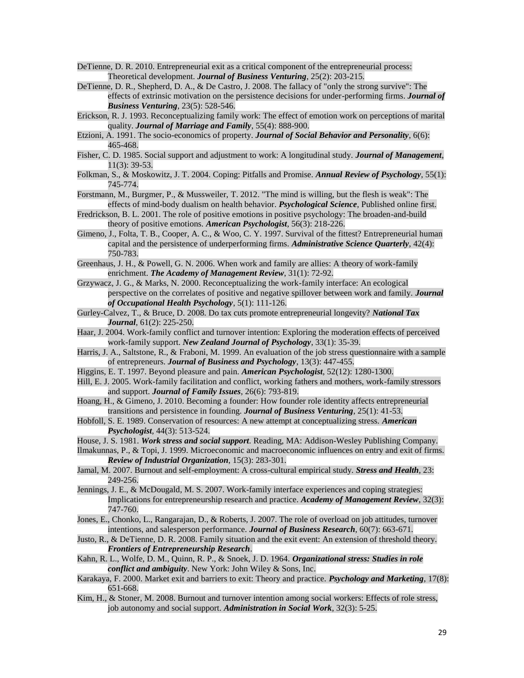- <span id="page-28-2"></span>DeTienne, D. R. 2010. Entrepreneurial exit as a critical component of the entrepreneurial process: Theoretical development. *Journal of Business Venturing*, 25(2): 203-215.
- <span id="page-28-0"></span>DeTienne, D. R., Shepherd, D. A., & De Castro, J. 2008. The fallacy of "only the strong survive": The effects of extrinsic motivation on the persistence decisions for under-performing firms. *Journal of Business Venturing*, 23(5): 528-546.
- <span id="page-28-19"></span>Erickson, R. J. 1993. Reconceptualizing family work: The effect of emotion work on perceptions of marital quality. *Journal of Marriage and Family*, 55(4): 888-900.
- <span id="page-28-20"></span>Etzioni, A. 1991. The socio-economics of property. *Journal of Social Behavior and Personality*, 6(6): 465-468.
- <span id="page-28-6"></span>Fisher, C. D. 1985. Social support and adjustment to work: A longitudinal study. *Journal of Management*, 11(3): 39-53.
- <span id="page-28-24"></span>Folkman, S., & Moskowitz, J. T. 2004. Coping: Pitfalls and Promise. *Annual Review of Psychology*, 55(1): 745-774.
- <span id="page-28-23"></span>Forstmann, M., Burgmer, P., & Mussweiler, T. 2012. "The mind is willing, but the flesh is weak": The effects of mind-body dualism on health behavior. *Psychological Science*, Published online first.
- <span id="page-28-21"></span>Fredrickson, B. L. 2001. The role of positive emotions in positive psychology: The broaden-and-build theory of positive emotions. *American Psychologist*, 56(3): 218-226.
- <span id="page-28-3"></span>Gimeno, J., Folta, T. B., Cooper, A. C., & Woo, C. Y. 1997. Survival of the fittest? Entrepreneurial human capital and the persistence of underperforming firms. *Administrative Science Quarterly*, 42(4): 750-783.
- <span id="page-28-13"></span>Greenhaus, J. H., & Powell, G. N. 2006. When work and family are allies: A theory of work-family enrichment. *The Academy of Management Review*, 31(1): 72-92.
- <span id="page-28-14"></span>Grzywacz, J. G., & Marks, N. 2000. Reconceptualizing the work-family interface: An ecological perspective on the correlates of positive and negative spillover between work and family. *Journal of Occupational Health Psychology*, 5(1): 111-126.
- <span id="page-28-1"></span>Gurley-Calvez, T., & Bruce, D. 2008. Do tax cuts promote entrepreneurial longevity? *National Tax Journal*, 61(2): 225-250.
- <span id="page-28-15"></span>Haar, J. 2004. Work-family conflict and turnover intention: Exploring the moderation effects of perceived work-family support. *New Zealand Journal of Psychology*, 33(1): 35-39.
- <span id="page-28-9"></span>Harris, J. A., Saltstone, R., & Fraboni, M. 1999. An evaluation of the job stress questionnaire with a sample of entrepreneurs. *Journal of Business and Psychology*, 13(3): 447-455.
- <span id="page-28-25"></span>Higgins, E. T. 1997. Beyond pleasure and pain. *American Psychologist*, 52(12): 1280-1300.
- <span id="page-28-12"></span>Hill, E. J. 2005. Work-family facilitation and conflict, working fathers and mothers, work-family stressors and support. *Journal of Family Issues*, 26(6): 793-819.
- <span id="page-28-16"></span>Hoang, H., & Gimeno, J. 2010. Becoming a founder: How founder role identity affects entrepreneurial transitions and persistence in founding. *Journal of Business Venturing*, 25(1): 41-53.
- Hobfoll, S. E. 1989. Conservation of resources: A new attempt at conceptualizing stress. *American Psychologist*, 44(3): 513-524.
- <span id="page-28-11"></span>House, J. S. 1981. *Work stress and social support*. Reading, MA: Addison-Wesley Publishing Company.
- <span id="page-28-10"></span>Ilmakunnas, P., & Topi, J. 1999. Microeconomic and macroeconomic influences on entry and exit of firms. *Review of Industrial Organization*, 15(3): 283-301.
- <span id="page-28-22"></span>Jamal, M. 2007. Burnout and self-employment: A cross-cultural empirical study. *Stress and Health*, 23: 249-256.
- <span id="page-28-7"></span>Jennings, J. E., & McDougald, M. S. 2007. Work-family interface experiences and coping strategies: Implications for entrepreneurship research and practice. *Academy of Management Review*, 32(3): 747-760.
- <span id="page-28-17"></span>Jones, E., Chonko, L., Rangarajan, D., & Roberts, J. 2007. The role of overload on job attitudes, turnover intentions, and salesperson performance. *Journal of Business Research*, 60(7): 663-671.
- <span id="page-28-8"></span>Justo, R., & DeTienne, D. R. 2008. Family situation and the exit event: An extension of threshold theory. *Frontiers of Entrepreneurship Research*.
- <span id="page-28-5"></span>Kahn, R. L., Wolfe, D. M., Quinn, R. P., & Snoek, J. D. 1964. *Organizational stress: Studies in role conflict and ambiguity*. New York: John Wiley & Sons, Inc.
- <span id="page-28-4"></span>Karakaya, F. 2000. Market exit and barriers to exit: Theory and practice. *Psychology and Marketing*, 17(8): 651-668.
- <span id="page-28-18"></span>Kim, H., & Stoner, M. 2008. Burnout and turnover intention among social workers: Effects of role stress, job autonomy and social support. *Administration in Social Work*, 32(3): 5-25.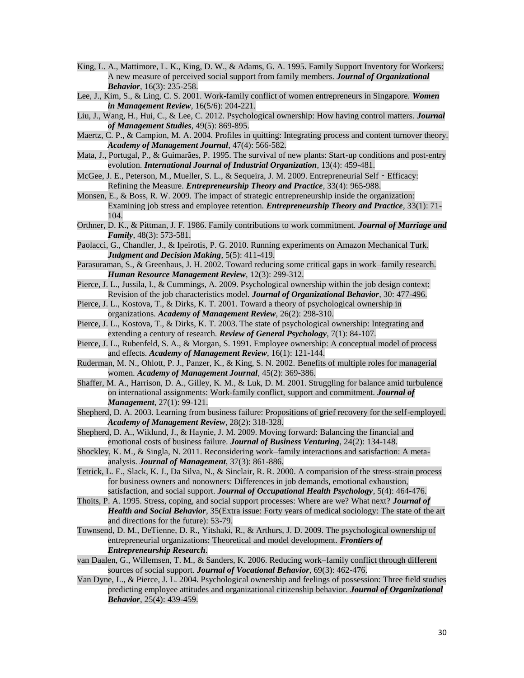- <span id="page-29-15"></span>King, L. A., Mattimore, L. K., King, D. W., & Adams, G. A. 1995. Family Support Inventory for Workers: A new measure of perceived social support from family members. *Journal of Organizational Behavior*, 16(3): 235-258.
- <span id="page-29-11"></span>Lee, J., Kim, S., & Ling, C. S. 2001. Work-family conflict of women entrepreneurs in Singapore. *Women in Management Review*, 16(5/6): 204-221.
- <span id="page-29-18"></span>Liu, J., Wang, H., Hui, C., & Lee, C. 2012. Psychological ownership: How having control matters. *Journal of Management Studies*, 49(5): 869-895.
- <span id="page-29-4"></span>Maertz, C. P., & Campion, M. A. 2004. Profiles in quitting: Integrating process and content turnover theory. *Academy of Management Journal*, 47(4): 566-582.
- <span id="page-29-9"></span>Mata, J., Portugal, P., & Guimarães, P. 1995. The survival of new plants: Start-up conditions and post-entry evolution. *International Journal of Industrial Organization*, 13(4): 459-481.
- <span id="page-29-14"></span>McGee, J. E., Peterson, M., Mueller, S. L., & Sequeira, J. M. 2009. Entrepreneurial Self - Efficacy: Refining the Measure. *Entrepreneurship Theory and Practice*, 33(4): 965-988.
- <span id="page-29-8"></span>Monsen, E., & Boss, R. W. 2009. The impact of strategic entrepreneurship inside the organization: Examining job stress and employee retention. *Entrepreneurship Theory and Practice*, 33(1): 71- 104.
- <span id="page-29-3"></span>Orthner, D. K., & Pittman, J. F. 1986. Family contributions to work commitment. *Journal of Marriage and Family*, 48(3): 573-581.
- <span id="page-29-20"></span>Paolacci, G., Chandler, J., & Ipeirotis, P. G. 2010. Running experiments on Amazon Mechanical Turk. *Judgment and Decision Making*, 5(5): 411-419.
- <span id="page-29-21"></span>Parasuraman, S., & Greenhaus, J. H. 2002. Toward reducing some critical gaps in work–family research. *Human Resource Management Review*, 12(3): 299-312.
- <span id="page-29-17"></span>Pierce, J. L., Jussila, I., & Cummings, A. 2009. Psychological ownership within the job design context: Revision of the job characteristics model. *Journal of Organizational Behavior*, 30: 477-496.
- <span id="page-29-6"></span>Pierce, J. L., Kostova, T., & Dirks, K. T. 2001. Toward a theory of psychological ownership in organizations. *Academy of Management Review*, 26(2): 298-310.
- <span id="page-29-19"></span>Pierce, J. L., Kostova, T., & Dirks, K. T. 2003. The state of psychological ownership: Integrating and extending a century of research. *Review of General Psychology*, 7(1): 84-107.
- <span id="page-29-16"></span>Pierce, J. L., Rubenfeld, S. A., & Morgan, S. 1991. Employee ownership: A conceptual model of process and effects. *Academy of Management Review*, 16(1): 121-144.
- <span id="page-29-13"></span>Ruderman, M. N., Ohlott, P. J., Panzer, K., & King, S. N. 2002. Benefits of multiple roles for managerial women. *Academy of Management Journal*, 45(2): 369-386.
- <span id="page-29-2"></span>Shaffer, M. A., Harrison, D. A., Gilley, K. M., & Luk, D. M. 2001. Struggling for balance amid turbulence on international assignments: Work-family conflict, support and commitment. *Journal of Management*, 27(1): 99-121.
- <span id="page-29-0"></span>Shepherd, D. A. 2003. Learning from business failure: Propositions of grief recovery for the self-employed. *Academy of Management Review*, 28(2): 318-328.
- <span id="page-29-1"></span>Shepherd, D. A., Wiklund, J., & Haynie, J. M. 2009. Moving forward: Balancing the financial and emotional costs of business failure. *Journal of Business Venturing*, 24(2): 134-148.
- <span id="page-29-22"></span>Shockley, K. M., & Singla, N. 2011. Reconsidering work–family interactions and satisfaction: A metaanalysis. *Journal of Management*, 37(3): 861-886.
- <span id="page-29-23"></span>Tetrick, L. E., Slack, K. J., Da Silva, N., & Sinclair, R. R. 2000. A comparision of the stress-strain process for business owners and nonowners: Differences in job demands, emotional exhaustion, satisfaction, and social support. *Journal of Occupational Health Psychology*, 5(4): 464-476.
- <span id="page-29-10"></span>Thoits, P. A. 1995. Stress, coping, and social support processes: Where are we? What next? *Journal of Health and Social Behavior*, 35(Extra issue: Forty years of medical sociology: The state of the art and directions for the future): 53-79.
- <span id="page-29-5"></span>Townsend, D. M., DeTienne, D. R., Yitshaki, R., & Arthurs, J. D. 2009. The psychological ownership of entrepreneurial organizations: Theoretical and model development. *Frontiers of Entrepreneurship Research*.
- <span id="page-29-12"></span>van Daalen, G., Willemsen, T. M., & Sanders, K. 2006. Reducing work–family conflict through different sources of social support. *Journal of Vocational Behavior*, 69(3): 462-476.
- <span id="page-29-7"></span>Van Dyne, L., & Pierce, J. L. 2004. Psychological ownership and feelings of possession: Three field studies predicting employee attitudes and organizational citizenship behavior. *Journal of Organizational Behavior*, 25(4): 439-459.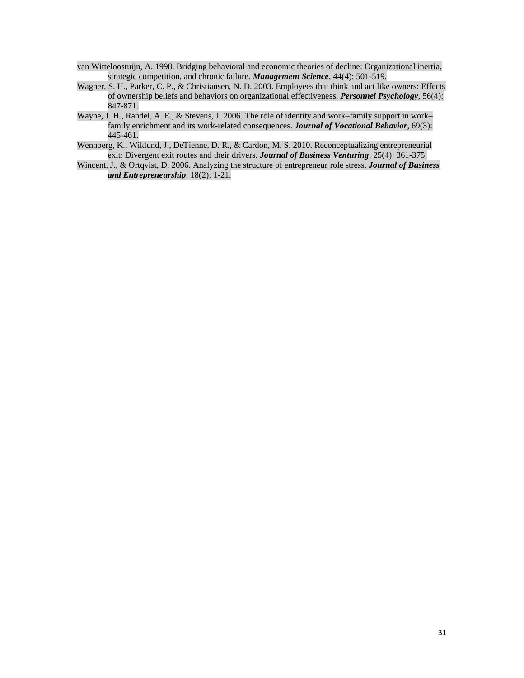- <span id="page-30-0"></span>van Witteloostuijn, A. 1998. Bridging behavioral and economic theories of decline: Organizational inertia, strategic competition, and chronic failure. *Management Science*, 44(4): 501-519.
- <span id="page-30-3"></span>Wagner, S. H., Parker, C. P., & Christiansen, N. D. 2003. Employees that think and act like owners: Effects of ownership beliefs and behaviors on organizational effectiveness. *Personnel Psychology*, 56(4): 847-871.
- <span id="page-30-1"></span>Wayne, J. H., Randel, A. E., & Stevens, J. 2006. The role of identity and work–family support in work– family enrichment and its work-related consequences. *Journal of Vocational Behavior*, 69(3): 445-461.
- <span id="page-30-2"></span>Wennberg, K., Wiklund, J., DeTienne, D. R., & Cardon, M. S. 2010. Reconceptualizing entrepreneurial exit: Divergent exit routes and their drivers. *Journal of Business Venturing*, 25(4): 361-375.
- <span id="page-30-4"></span>Wincent, J., & Ortqvist, D. 2006. Analyzing the structure of entrepreneur role stress. *Journal of Business and Entrepreneurship*, 18(2): 1-21.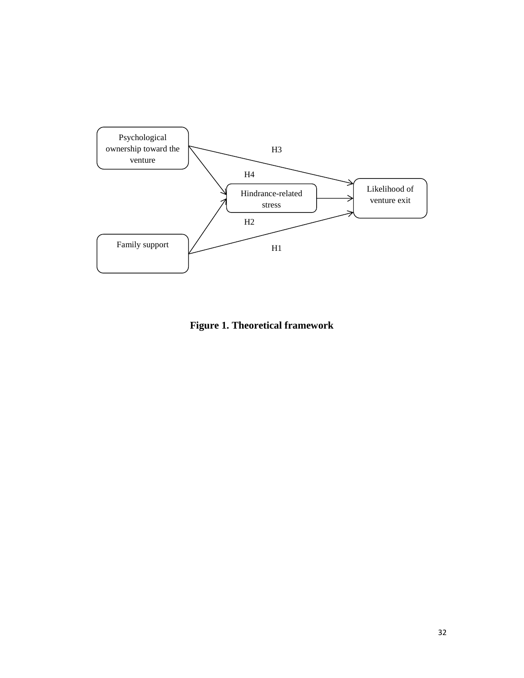

**Figure 1. Theoretical framework**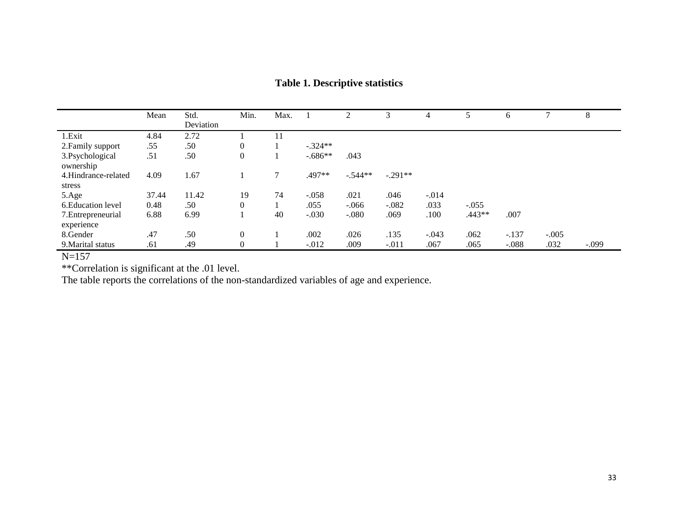|                                  | Mean  | Std.<br>Deviation | Min.           | Max.   |           |           |           |         |          | 6       |         | 8       |
|----------------------------------|-------|-------------------|----------------|--------|-----------|-----------|-----------|---------|----------|---------|---------|---------|
| 1.Exit                           | 4.84  | 2.72              |                |        |           |           |           |         |          |         |         |         |
| 2. Family support                | .55   | .50               | $\overline{0}$ |        | $-.324**$ |           |           |         |          |         |         |         |
| 3. Psychological<br>ownership    | .51   | .50               | $\mathbf{0}$   |        | $-.686**$ | .043      |           |         |          |         |         |         |
| 4.Hindrance-related<br>stress    | 4.09  | 1.67              |                | $\tau$ | .497**    | $-.544**$ | $-.291**$ |         |          |         |         |         |
| 5.Age                            | 37.44 | 11.42             | 19             | 74     | $-.058$   | .021      | .046      | $-.014$ |          |         |         |         |
| 6. Education level               | 0.48  | .50               | $\overline{0}$ |        | .055      | $-.066$   | $-.082$   | .033    | $-.055$  |         |         |         |
| 7. Entrepreneurial<br>experience | 6.88  | 6.99              |                | 40     | $-.030$   | $-.080$   | .069      | .100    | $.443**$ | .007    |         |         |
| 8. Gender                        | .47   | .50               | $\mathbf{0}$   |        | .002      | .026      | .135      | $-.043$ | .062     | $-.137$ | $-.005$ |         |
| 9. Marital status                | .61   | .49               | $\mathbf{0}$   |        | $-.012$   | .009      | $-.011$   | .067    | .065     | $-.088$ | .032    | $-.099$ |

# **Table 1. Descriptive statistics**

N=157

\*\*Correlation is significant at the .01 level.

The table reports the correlations of the non-standardized variables of age and experience.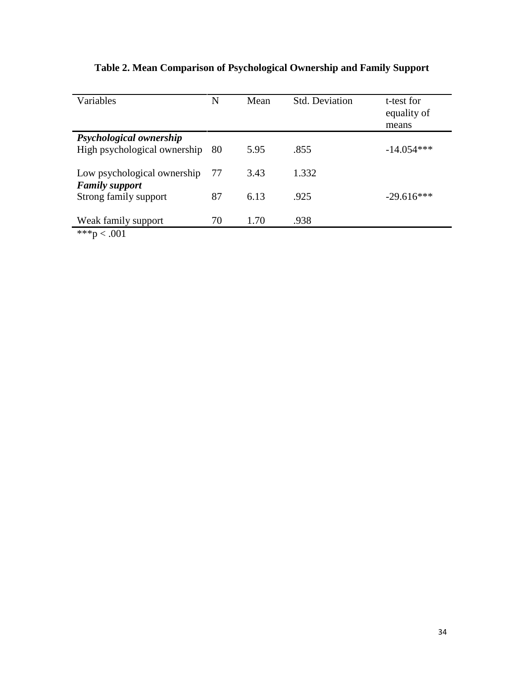| Variables                    | N  | Mean | <b>Std. Deviation</b> | t-test for<br>equality of<br>means |
|------------------------------|----|------|-----------------------|------------------------------------|
| Psychological ownership      |    |      |                       |                                    |
| High psychological ownership | 80 | 5.95 | .855                  | $-14.054***$                       |
| Low psychological ownership  | 77 | 3.43 | 1.332                 |                                    |
| <b>Family support</b>        |    |      |                       |                                    |
| Strong family support        | 87 | 6.13 | .925                  | $-29.616***$                       |
| Weak family support          | 70 | 1.70 | .938                  |                                    |
| ***p < .001                  |    |      |                       |                                    |

# **Table 2. Mean Comparison of Psychological Ownership and Family Support**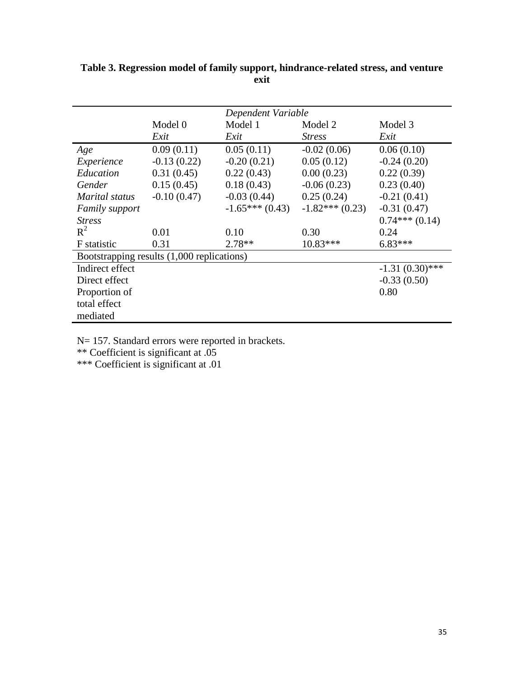|                                            |               | Dependent Variable |                  |                   |  |  |  |
|--------------------------------------------|---------------|--------------------|------------------|-------------------|--|--|--|
|                                            | Model 0       | Model 1            | Model 2          | Model 3           |  |  |  |
|                                            | Exit          | Exit               | <b>Stress</b>    | Exit              |  |  |  |
| Age                                        | 0.09(0.11)    | 0.05(0.11)         | $-0.02(0.06)$    | 0.06(0.10)        |  |  |  |
| Experience                                 | $-0.13(0.22)$ | $-0.20(0.21)$      | 0.05(0.12)       | $-0.24(0.20)$     |  |  |  |
| Education                                  | 0.31(0.45)    | 0.22(0.43)         | 0.00(0.23)       | 0.22(0.39)        |  |  |  |
| Gender                                     | 0.15(0.45)    | 0.18(0.43)         | $-0.06(0.23)$    | 0.23(0.40)        |  |  |  |
| Marital status                             | $-0.10(0.47)$ | $-0.03(0.44)$      | 0.25(0.24)       | $-0.21(0.41)$     |  |  |  |
| <b>Family support</b>                      |               | $-1.65***(0.43)$   | $-1.82***(0.23)$ | $-0.31(0.47)$     |  |  |  |
| <b>Stress</b>                              |               |                    |                  | $0.74***(0.14)$   |  |  |  |
| $R^2$                                      | 0.01          | 0.10               | 0.30             | 0.24              |  |  |  |
| F statistic                                | 0.31          | $2.78**$           | $10.83***$       | $6.83***$         |  |  |  |
| Bootstrapping results (1,000 replications) |               |                    |                  |                   |  |  |  |
| Indirect effect                            |               |                    |                  | $-1.31(0.30)$ *** |  |  |  |
| Direct effect                              |               |                    |                  | $-0.33(0.50)$     |  |  |  |
| Proportion of                              |               |                    |                  | 0.80              |  |  |  |
| total effect                               |               |                    |                  |                   |  |  |  |
| mediated                                   |               |                    |                  |                   |  |  |  |

**Table 3. Regression model of family support, hindrance-related stress, and venture exit**

N= 157. Standard errors were reported in brackets.

\*\* Coefficient is significant at .05

\*\*\* Coefficient is significant at .01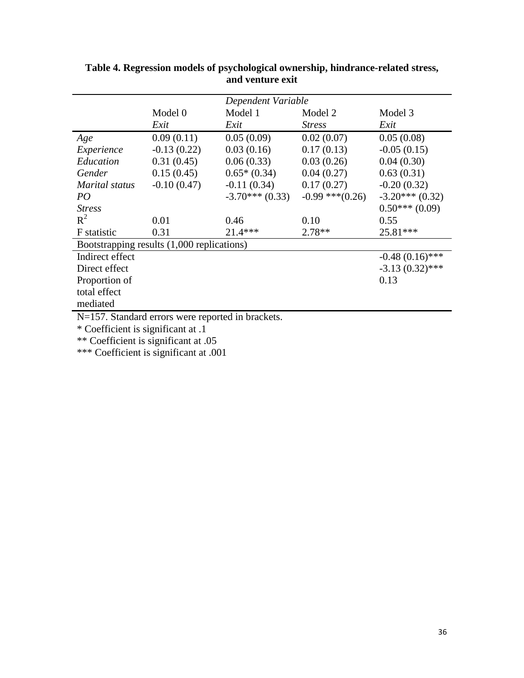|                                                   |               | Dependent Variable |                      |                   |  |  |  |
|---------------------------------------------------|---------------|--------------------|----------------------|-------------------|--|--|--|
|                                                   | Model 0       | Model 1            | Model 2              | Model 3           |  |  |  |
|                                                   | Exit          | Exit               | <i>Stress</i>        | Exit              |  |  |  |
| Age                                               | 0.09(0.11)    | 0.05(0.09)         | 0.02(0.07)           | 0.05(0.08)        |  |  |  |
| Experience                                        | $-0.13(0.22)$ | 0.03(0.16)         | 0.17(0.13)           | $-0.05(0.15)$     |  |  |  |
| Education                                         | 0.31(0.45)    | 0.06(0.33)         | 0.03(0.26)           | 0.04(0.30)        |  |  |  |
| Gender                                            | 0.15(0.45)    | $0.65*(0.34)$      | 0.04(0.27)           | 0.63(0.31)        |  |  |  |
| Marital status                                    | $-0.10(0.47)$ | $-0.11(0.34)$      | 0.17(0.27)           | $-0.20(0.32)$     |  |  |  |
| PO <sub>1</sub>                                   |               | $-3.70***$ (0.33)  | $-0.99$ *** $(0.26)$ | $-3.20***$ (0.32) |  |  |  |
| <b>Stress</b>                                     |               |                    |                      | $0.50***(0.09)$   |  |  |  |
| $R^2$                                             | 0.01          | 0.46               | 0.10                 | 0.55              |  |  |  |
| F statistic                                       | 0.31          | $21.4***$          | $2.78**$             | 25.81***          |  |  |  |
| Bootstrapping results (1,000 replications)        |               |                    |                      |                   |  |  |  |
| Indirect effect                                   |               |                    |                      | $-0.48(0.16)$ *** |  |  |  |
| Direct effect                                     |               |                    |                      | $-3.13(0.32)$ *** |  |  |  |
| Proportion of                                     |               |                    |                      | 0.13              |  |  |  |
| total effect                                      |               |                    |                      |                   |  |  |  |
| mediated                                          |               |                    |                      |                   |  |  |  |
| N=157. Standard errors were reported in brackets. |               |                    |                      |                   |  |  |  |

**Table 4. Regression models of psychological ownership, hindrance-related stress, and venture exit**

\* Coefficient is significant at .1

\*\* Coefficient is significant at .05

\*\*\* Coefficient is significant at .001